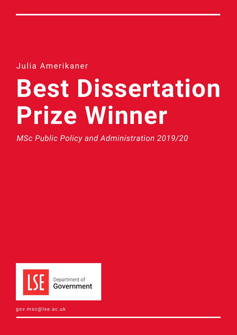Julia Amerikaner

# **Best Dissertation Prize Winner**

*MSc Public Policy and Administration 2019/20*



gov.msc@lse.ac.uk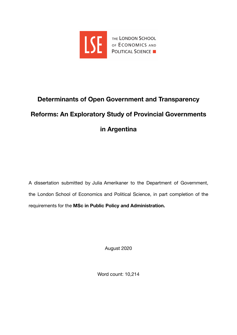

# **Determinants of Open Government and Transparency Reforms: An Exploratory Study of Provincial Governments in Argentina**

A dissertation submitted by Julia Amerikaner to the Department of Government, the London School of Economics and Political Science, in part completion of the requirements for the **MSc in Public Policy and Administration.** 

August 2020

Word count: 10,214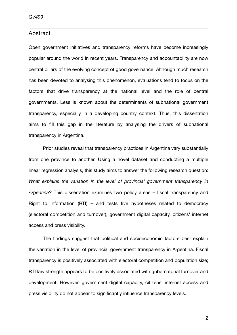#### <span id="page-2-0"></span>Abstract

Open government initiatives and transparency reforms have become increasingly popular around the world in recent years. Transparency and accountability are now central pillars of the evolving concept of good governance. Although much research has been devoted to analysing this phenomenon, evaluations tend to focus on the factors that drive transparency at the national level and the role of central governments. Less is known about the determinants of subnational government transparency, especially in a developing country context. Thus, this dissertation aims to fill this gap in the literature by analysing the drivers of subnational transparency in Argentina.

Prior studies reveal that transparency practices in Argentina vary substantially from one province to another. Using a novel dataset and conducting a multiple linear regression analysis, this study aims to answer the following research question: *What explains the variation in the level of provincial government transparency in Argentina?* This dissertation examines two policy areas – fiscal transparency and Right to Information (RTI) – and tests five hypotheses related to democracy (electoral competition and turnover), government digital capacity, citizens' internet access and press visibility.

The findings suggest that political and socioeconomic factors best explain the variation in the level of provincial government transparency in Argentina. Fiscal transparency is positively associated with electoral competition and population size; RTI law strength appears to be positively associated with gubernatorial turnover and development. However, government digital capacity, citizens' internet access and press visibility do not appear to significantly influence transparency levels.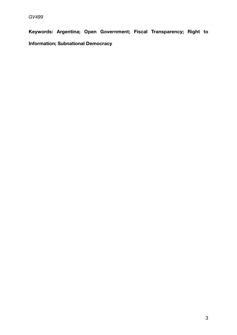**Keywords: Argentina; Open Government; Fiscal Transparency; Right to Information; Subnational Democracy**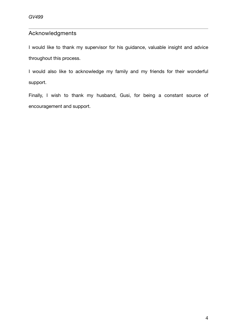### <span id="page-4-0"></span>Acknowledgments

I would like to thank my supervisor for his guidance, valuable insight and advice throughout this process.

I would also like to acknowledge my family and my friends for their wonderful support.

Finally, I wish to thank my husband, Gusi, for being a constant source of encouragement and support.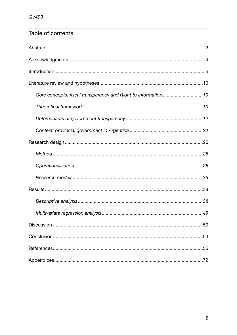## Table of contents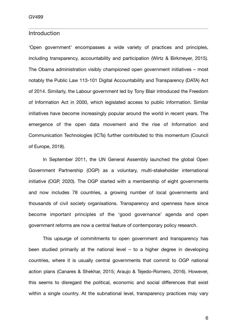#### <span id="page-6-0"></span>Introduction

'Open government' encompasses a wide variety of practices and principles, including transparency, accountability and participation (Wirtz & Birkmeyer, 2015). The Obama administration visibly championed open government initiatives – most notably the Public Law 113-101 Digital Accountability and Transparency (DATA) Act of 2014. Similarly, the Labour government led by Tony Blair introduced the Freedom of Information Act in 2000, which legislated access to public information. Similar initiatives have become increasingly popular around the world in recent years. The emergence of the open data movement and the rise of Information and Communication Technologies (ICTs) further contributed to this momentum (Council of Europe, 2018).

In September 2011, the UN General Assembly launched the global Open Government Partnership (OGP) as a voluntary, multi-stakeholder international initiative (OGP, 2020). The OGP started with a membership of eight governments and now includes 78 countries, a growing number of local governments and thousands of civil society organisations. Transparency and openness have since become important principles of the 'good governance' agenda and open government reforms are now a central feature of contemporary policy research.

This upsurge of commitments to open government and transparency has been studied primarily at the national level – to a higher degree in developing countries, where it is usually central governments that commit to OGP national action plans (Canares & Shekhar, 2015; Araujo & Tejedo-Romero, 2016). However, this seems to disregard the political, economic and social differences that exist within a single country. At the subnational level, transparency practices may vary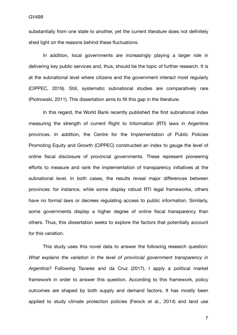substantially from one state to another, yet the current literature does not definitely shed light on the reasons behind these fluctuations.

In addition, local governments are increasingly playing a larger role in delivering key public services and, thus, should be the topic of further research. It is at the subnational level where citizens and the government interact most regularly (CIPPEC, 2019). Still, systematic subnational studies are comparatively rare (Piotrowski, 2011). This dissertation aims to fill this gap in the literature.

In this regard, the World Bank recently published the first subnational index measuring the strength of current Right to Information (RTI) laws in Argentine provinces. In addition, the Centre for the Implementation of Public Policies Promoting Equity and Growth (CIPPEC) constructed an index to gauge the level of online fiscal disclosure of provincial governments. These represent pioneering efforts to measure and rank the implementation of transparency initiatives at the subnational level. In both cases, the results reveal major differences between provinces: for instance, while some display robust RTI legal frameworks, others have no formal laws or decrees regulating access to public information. Similarly, some governments display a higher degree of online fiscal transparency than others. Thus, this dissertation seeks to explore the factors that potentially account for this variation.

This study uses this novel data to answer the following research question: *What explains the variation in the level of provincial government transparency in Argentina?* Following Tavares and da Cruz (2017), I apply a political market framework in order to answer this question. According to this framework, policy outcomes are shaped by both supply and demand factors. It has mostly been applied to study climate protection policies (Feiock et al., 2014) and land use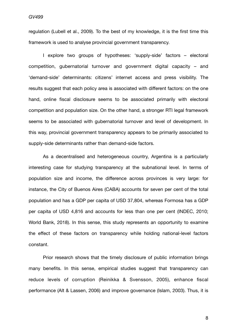regulation (Lubell et al., 2009). To the best of my knowledge, it is the first time this framework is used to analyse provincial government transparency.

I explore two groups of hypotheses: 'supply-side' factors – electoral competition, gubernatorial turnover and government digital capacity – and 'demand-side' determinants: citizens' internet access and press visibility. The results suggest that each policy area is associated with different factors: on the one hand, online fiscal disclosure seems to be associated primarily with electoral competition and population size. On the other hand, a stronger RTI legal framework seems to be associated with gubernatorial turnover and level of development. In this way, provincial government transparency appears to be primarily associated to supply-side determinants rather than demand-side factors.

As a decentralised and heterogeneous country, Argentina is a particularly interesting case for studying transparency at the subnational level. In terms of population size and income, the difference across provinces is very large: for instance, the City of Buenos Aires (CABA) accounts for seven per cent of the total population and has a GDP per capita of USD 37,804, whereas Formosa has a GDP per capita of USD 4,816 and accounts for less than one per cent (INDEC, 2010; World Bank, 2018). In this sense, this study represents an opportunity to examine the effect of these factors on transparency while holding national-level factors constant.

Prior research shows that the timely disclosure of public information brings many benefits. In this sense, empirical studies suggest that transparency can reduce levels of corruption (Reinikka & Svensson, 2005), enhance fiscal performance (Alt & Lassen, 2006) and improve governance (Islam, 2003). Thus, it is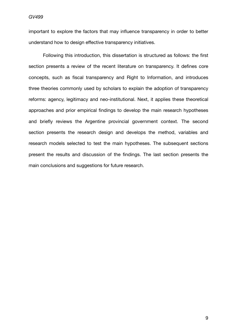important to explore the factors that may influence transparency in order to better understand how to design effective transparency initiatives.

Following this introduction, this dissertation is structured as follows: the first section presents a review of the recent literature on transparency. It defines core concepts, such as fiscal transparency and Right to Information, and introduces three theories commonly used by scholars to explain the adoption of transparency reforms: agency, legitimacy and neo-institutional. Next, it applies these theoretical approaches and prior empirical findings to develop the main research hypotheses and briefly reviews the Argentine provincial government context. The second section presents the research design and develops the method, variables and research models selected to test the main hypotheses. The subsequent sections present the results and discussion of the findings. The last section presents the main conclusions and suggestions for future research.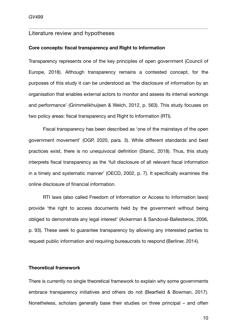#### <span id="page-10-0"></span>Literature review and hypotheses

#### <span id="page-10-1"></span>**Core concepts: fiscal transparency and Right to Information**

Transparency represents one of the key principles of open government (Council of Europe, 2018). Although transparency remains a contested concept, for the purposes of this study it can be understood as 'the disclosure of information by an organisation that enables external actors to monitor and assess its internal workings and performance' (Grimmelikhuijsen & Welch, 2012, p. 563). This study focuses on two policy areas: fiscal transparency and Right to Information (RTI).

Fiscal transparency has been described as 'one of the mainstays of the open government movement' (OGP, 2020, para. 3). While different standards and best practices exist, there is no unequivocal definition (Stanić, 2018). Thus, this study interprets fiscal transparency as the 'full disclosure of all relevant fiscal information in a timely and systematic manner' (OECD, 2002, p. 7). It specifically examines the online disclosure of financial information.

RTI laws (also called Freedom of Information or Access to Information laws) provide 'the right to access documents held by the government without being obliged to demonstrate any legal interest' (Ackerman & Sandoval-Ballesteros, 2006, p. 93). These seek to guarantee transparency by allowing any interested parties to request public information and requiring bureaucrats to respond (Berliner, 2014).

#### <span id="page-10-2"></span>**Theoretical framework**

There is currently no single theoretical framework to explain why some governments embrace transparency initiatives and others do not (Bearfield & Bowman, 2017). Nonetheless, scholars generally base their studies on three principal – and often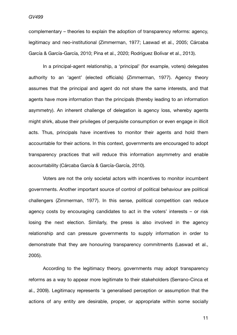complementary – theories to explain the adoption of transparency reforms: agency, legitimacy and neo-institutional (Zimmerman, 1977; Laswad et al., 2005; Cárcaba García & García-García, 2010; Pina et al., 2020; Rodríguez Bolívar et al., 2013).

In a principal-agent relationship, a 'principal' (for example, voters) delegates authority to an 'agent' (elected officials) (Zimmerman, 1977). Agency theory assumes that the principal and agent do not share the same interests, and that agents have more information than the principals (thereby leading to an information asymmetry). An inherent challenge of delegation is agency loss, whereby agents might shirk, abuse their privileges of perquisite consumption or even engage in illicit acts. Thus, principals have incentives to monitor their agents and hold them accountable for their actions. In this context, governments are encouraged to adopt transparency practices that will reduce this information asymmetry and enable accountability (Cárcaba García & García-García, 2010).

Voters are not the only societal actors with incentives to monitor incumbent governments. Another important source of control of political behaviour are political challengers (Zimmerman, 1977). In this sense, political competition can reduce agency costs by encouraging candidates to act in the voters' interests – or risk losing the next election. Similarly, the press is also involved in the agency relationship and can pressure governments to supply information in order to demonstrate that they are honouring transparency commitments (Laswad et al., 2005).

According to the legitimacy theory, governments may adopt transparency reforms as a way to appear more legitimate to their stakeholders (Serrano-Cinca et al., 2009). Legitimacy represents 'a generalised perception or assumption that the actions of any entity are desirable, proper, or appropriate within some socially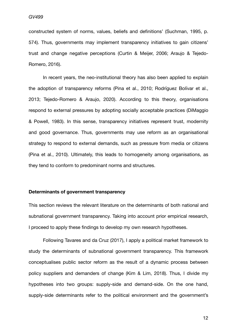constructed system of norms, values, beliefs and definitions' (Suchman, 1995, p. 574). Thus, governments may implement transparency initiatives to gain citizens' trust and change negative perceptions (Curtin & Meijer, 2006; Araujo & Tejedo-Romero, 2016).

In recent years, the neo-institutional theory has also been applied to explain the adoption of transparency reforms (Pina et al., 2010; Rodríguez Bolívar et al., 2013; Tejedo-Romero & Araujo, 2020). According to this theory, organisations respond to external pressures by adopting socially acceptable practices (DiMaggio & Powell, 1983). In this sense, transparency initiatives represent trust, modernity and good governance. Thus, governments may use reform as an organisational strategy to respond to external demands, such as pressure from media or citizens (Pina et al., 2010). Ultimately, this leads to homogeneity among organisations, as they tend to conform to predominant norms and structures.

#### <span id="page-12-0"></span>**Determinants of government transparency**

This section reviews the relevant literature on the determinants of both national and subnational government transparency. Taking into account prior empirical research, I proceed to apply these findings to develop my own research hypotheses.

Following Tavares and da Cruz (2017), I apply a political market framework to study the determinants of subnational government transparency. This framework conceptualises public sector reform as the result of a dynamic process between policy suppliers and demanders of change (Kim & Lim, 2018). Thus, I divide my hypotheses into two groups: supply-side and demand-side. On the one hand, supply-side determinants refer to the political environment and the government's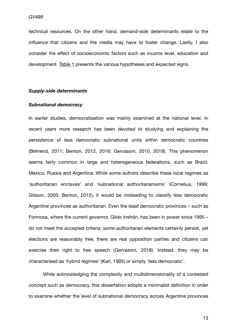technical resources. On the other hand, demand-side determinants relate to the influence that citizens and the media may have to foster change. Lastly, I also consider the effect of socioeconomic factors such as income level, education and development. [Table 1](#page-21-0) presents the various hypotheses and expected signs.

#### *Supply-side determinants*

#### *Subnational democracy*

In earlier studies, democratisation was mainly examined at the national level. In recent years more research has been devoted to studying and explaining the persistence of less democratic subnational units within democratic countries (Behrend, 2011; Benton, 2012, 2016; Gervasoni, 2010, 2018). This phenomenon seems fairly common in large and heterogeneous federations, such as Brazil, Mexico, Russia and Argentina. While some authors describe these local regimes as 'authoritarian enclaves' and 'subnational authoritarianisms' (Cornelius, 1999; Gibson, 2005; Benton, 2012), it would be misleading to classify less democratic Argentine provinces as authoritarian. Even the least democratic provinces – such as Formosa, where the current governor, Gildo Insfrán, has been in power since 1995 – do not meet the accepted criteria: some authoritarian elements certainly persist, yet elections are reasonably free, there are real opposition parties and citizens can exercise their right to free speech (Gervasoni, 2018). Instead, they may be characterised as 'hybrid regimes' (Karl, 1995) or simply 'less democratic'.

While acknowledging the complexity and multidimensionality of a contested concept such as democracy, this dissertation adopts a minimalist definition in order to examine whether the level of subnational democracy across Argentine provinces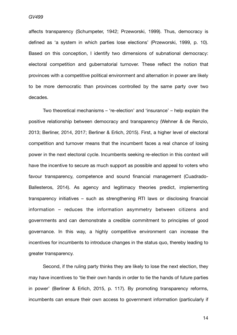affects transparency (Schumpeter, 1942; Przeworski, 1999). Thus, democracy is defined as 'a system in which parties lose elections' (Przeworski, 1999, p. 10). Based on this conception, I identify two dimensions of subnational democracy: electoral competition and gubernatorial turnover. These reflect the notion that provinces with a competitive political environment and alternation in power are likely to be more democratic than provinces controlled by the same party over two decades.

Two theoretical mechanisms – 're-election' and 'insurance' – help explain the positive relationship between democracy and transparency (Wehner & de Renzio, 2013; Berliner, 2014, 2017; Berliner & Erlich, 2015). First, a higher level of electoral competition and turnover means that the incumbent faces a real chance of losing power in the next electoral cycle. Incumbents seeking re-election in this context will have the incentive to secure as much support as possible and appeal to voters who favour transparency, competence and sound financial management (Cuadrado-Ballesteros, 2014). As agency and legitimacy theories predict, implementing transparency initiatives – such as strengthening RTI laws or disclosing financial information – reduces the information asymmetry between citizens and governments and can demonstrate a credible commitment to principles of good governance. In this way, a highly competitive environment can increase the incentives for incumbents to introduce changes in the status quo, thereby leading to greater transparency.

Second, if the ruling party thinks they are likely to lose the next election, they may have incentives to 'tie their own hands in order to tie the hands of future parties in power' (Berliner & Erlich, 2015, p. 117). By promoting transparency reforms, incumbents can ensure their own access to government information (particularly if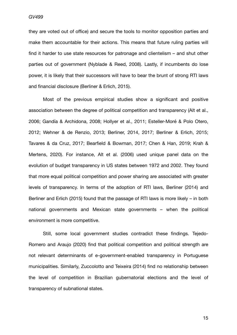*GV499*

*Candidate number: 37721* they are voted out of office) and secure the tools to monitor opposition parties and make them accountable for their actions. This means that future ruling parties will find it harder to use state resources for patronage and clientelism – and shut other parties out of government (Nyblade & Reed, 2008). Lastly, if incumbents do lose power, it is likely that their successors will have to bear the brunt of strong RTI laws and financial disclosure (Berliner & Erlich, 2015).

Most of the previous empirical studies show a significant and positive association between the degree of political competition and transparency (Alt et al., 2006; Gandía & Archidona, 2008; Hollyer et al., 2011; Esteller-Moré & Polo Otero, 2012; Wehner & de Renzio, 2013; Berliner, 2014, 2017; Berliner & Erlich, 2015; Tavares & da Cruz, 2017; Bearfield & Bowman, 2017; Chen & Han, 2019; Krah & Mertens, 2020). For instance, Alt et al. (2006) used unique panel data on the evolution of budget transparency in US states between 1972 and 2002. They found that more equal political competition and power sharing are associated with greater levels of transparency. In terms of the adoption of RTI laws, Berliner (2014) and Berliner and Erlich (2015) found that the passage of RTI laws is more likely – in both national governments and Mexican state governments – when the political environment is more competitive.

Still, some local government studies contradict these findings. Tejedo-Romero and Araujo (2020) find that political competition and political strength are not relevant determinants of e-government-enabled transparency in Portuguese municipalities. Similarly, Zuccolotto and Teixeira (2014) find no relationship between the level of competition in Brazilian gubernatorial elections and the level of transparency of subnational states.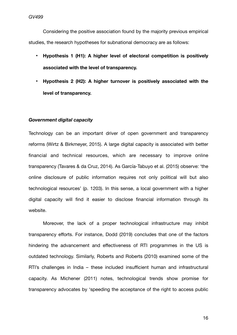Considering the positive association found by the majority previous empirical studies, the research hypotheses for subnational democracy are as follows:

- **• Hypothesis 1 (H1): A higher level of electoral competition is positively associated with the level of transparency.**
- **• Hypothesis 2 (H2): A higher turnover is positively associated with the level of transparency.**

#### *Government digital capacity*

Technology can be an important driver of open government and transparency reforms (Wirtz & Birkmeyer, 2015). A large digital capacity is associated with better financial and technical resources, which are necessary to improve online transparency (Tavares & da Cruz, 2014). As García-Tabuyo et al. (2015) observe: 'the online disclosure of public information requires not only political will but also technological resources' (p. 1203). In this sense, a local government with a higher digital capacity will find it easier to disclose financial information through its website.

Moreover, the lack of a proper technological infrastructure may inhibit transparency efforts. For instance, Dodd (2019) concludes that one of the factors hindering the advancement and effectiveness of RTI programmes in the US is outdated technology. Similarly, Roberts and Roberts (2010) examined some of the RTI's challenges in India – these included insufficient human and infrastructural capacity. As Michener (2011) notes, technological trends show promise for transparency advocates by 'speeding the acceptance of the right to access public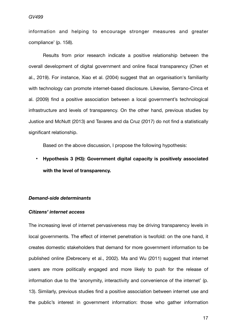#### *GV499*

information and helping to encourage stronger measures and greater compliance' (p. 158).

Results from prior research indicate a positive relationship between the overall development of digital government and online fiscal transparency (Chen et al., 2019). For instance, Xiao et al. (2004) suggest that an organisation's familiarity with technology can promote internet-based disclosure. Likewise, Serrano-Cinca et al. (2009) find a positive association between a local government's technological infrastructure and levels of transparency. On the other hand, previous studies by Justice and McNutt (2013) and Tavares and da Cruz (2017) do not find a statistically significant relationship.

Based on the above discussion, I propose the following hypothesis:

**• Hypothesis 3 (H3): Government digital capacity is positively associated with the level of transparency.**

#### *Demand-side determinants*

#### *Citizens' internet access*

The increasing level of internet pervasiveness may be driving transparency levels in local governments. The effect of internet penetration is twofold: on the one hand, it creates domestic stakeholders that demand for more government information to be published online (Debreceny et al., 2002). Ma and Wu (2011) suggest that internet users are more politically engaged and more likely to push for the release of information due to the 'anonymity, interactivity and convenience of the internet' (p. 13). Similarly, previous studies find a positive association between internet use and the public's interest in government information: those who gather information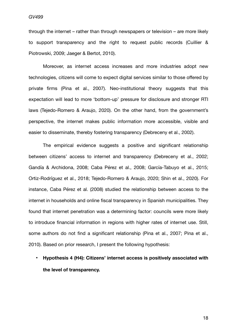through the internet – rather than through newspapers or television – are more likely to support transparency and the right to request public records (Cuillier & Piotrowski, 2009; Jaeger & Bertot, 2010).

Moreover, as internet access increases and more industries adopt new technologies, citizens will come to expect digital services similar to those offered by private firms (Pina et al., 2007). Neo-institutional theory suggests that this expectation will lead to more 'bottom-up' pressure for disclosure and stronger RTI laws (Tejedo-Romero & Araujo, 2020). On the other hand, from the government's perspective, the internet makes public information more accessible, visible and easier to disseminate, thereby fostering transparency (Debreceny et al., 2002).

The empirical evidence suggests a positive and significant relationship between citizens' access to internet and transparency (Debreceny et al., 2002; Gandía & Archidona, 2008; Caba Pérez et al., 2008; García-Tabuyo et al., 2015; Ortiz-Rodríguez et al., 2018; Tejedo-Romero & Araujo, 2020; Shin et al., 2020). For instance, Caba Pérez et al. (2008) studied the relationship between access to the internet in households and online fiscal transparency in Spanish municipalities. They found that internet penetration was a determining factor: councils were more likely to introduce financial information in regions with higher rates of internet use. Still, some authors do not find a significant relationship (Pina et al., 2007; Pina et al., 2010). Based on prior research, I present the following hypothesis:

**• Hypothesis 4 (H4): Citizens' internet access is positively associated with the level of transparency.**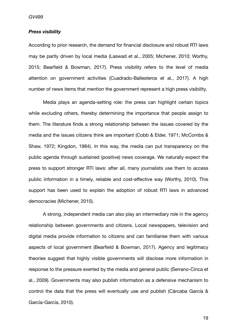#### *Press visibility*

According to prior research, the demand for financial disclosure and robust RTI laws may be partly driven by local media (Laswad et al., 2005; Michener, 2010; Worthy, 2015; Bearfield & Bowman, 2017). Press visibility refers to the level of media attention on government activities (Cuadrado-Ballesteros et al., 2017). A high number of news items that mention the government represent a high press visibility.

Media plays an agenda-setting role: the press can highlight certain topics while excluding others, thereby determining the importance that people assign to them. The literature finds a strong relationship between the issues covered by the media and the issues citizens think are important (Cobb & Elder, 1971; McCombs & Shaw, 1972; Kingdon, 1984). In this way, the media can put transparency on the public agenda through sustained (positive) news coverage. We naturally expect the press to support stronger RTI laws: after all, many journalists use them to access public information in a timely, reliable and cost-effective way (Worthy, 2010). This support has been used to explain the adoption of robust RTI laws in advanced democracies (Michener, 2010).

A strong, independent media can also play an intermediary role in the agency relationship between governments and citizens. Local newspapers, television and digital media provide information to citizens and can familiarise them with various aspects of local government (Bearfield & Bowman, 2017). Agency and legitimacy theories suggest that highly visible governments will disclose more information in response to the pressure exerted by the media and general public (Serrano-Cinca et al., 2009). Governments may also publish information as a defensive mechanism to control the data that the press will eventually use and publish (Cárcaba García & García-García, 2010).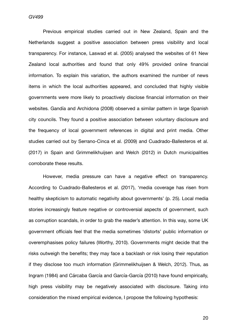*GV499*

Previous empirical studies carried out in New Zealand, Spain and the Netherlands suggest a positive association between press visibility and local transparency. For instance, Laswad et al. (2005) analysed the websites of 61 New Zealand local authorities and found that only 49% provided online financial information. To explain this variation, the authors examined the number of news items in which the local authorities appeared, and concluded that highly visible governments were more likely to proactively disclose financial information on their websites. Gandía and Archidona (2008) observed a similar pattern in large Spanish city councils. They found a positive association between voluntary disclosure and the frequency of local government references in digital and print media. Other studies carried out by Serrano-Cinca et al. (2009) and Cuadrado-Ballesteros et al. (2017) in Spain and Grimmelikhuijsen and Welch (2012) in Dutch municipalities corroborate these results.

However, media pressure can have a negative effect on transparency. According to Cuadrado-Ballesteros et al. (2017), 'media coverage has risen from healthy skepticism to automatic negativity about governments' (p. 25). Local media stories increasingly feature negative or controversial aspects of government, such as corruption scandals, in order to grab the reader's attention. In this way, some UK government officials feel that the media sometimes 'distorts' public information or overemphasises policy failures (Worthy, 2010). Governments might decide that the risks outweigh the benefits; they may face a backlash or risk losing their reputation if they disclose too much information (Grimmelikhuijsen & Welch, 2012). Thus, as Ingram (1984) and Cárcaba García and García-García (2010) have found empirically, high press visibility may be negatively associated with disclosure. Taking into consideration the mixed empirical evidence, I propose the following hypothesis: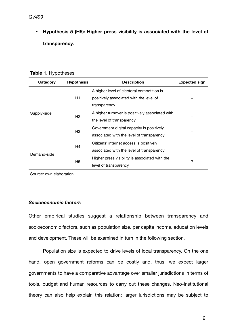<span id="page-21-0"></span>**•** Hypothesis 5 (H5): Higher press visibility is associated with the level of **transparency.**

| Table 1. Hypotheses |  |  |  |  |
|---------------------|--|--|--|--|
|---------------------|--|--|--|--|

| Category    | <b>Hypothesis</b>                         | <b>Description</b>                              | <b>Expected sign</b> |  |
|-------------|-------------------------------------------|-------------------------------------------------|----------------------|--|
|             |                                           | A higher level of electoral competition is      |                      |  |
|             | H1                                        | positively associated with the level of         |                      |  |
|             |                                           | transparency                                    |                      |  |
| Supply-side |                                           | A higher turnover is positively associated with |                      |  |
|             | H <sub>2</sub>                            | the level of transparency                       | $+$                  |  |
|             | Government digital capacity is positively |                                                 |                      |  |
|             | H <sub>3</sub>                            | associated with the level of transparency       | $^{+}$               |  |
|             | H <sub>4</sub>                            | Citizens' internet access is positively         |                      |  |
|             |                                           | associated with the level of transparency       | $^{+}$               |  |
| Demand-side | H5                                        | Higher press visibility is associated with the  | ?                    |  |
|             |                                           | level of transparency                           |                      |  |

Source: own elaboration.

#### *Socioeconomic factors*

Other empirical studies suggest a relationship between transparency and socioeconomic factors, such as population size, per capita income, education levels and development. These will be examined in turn in the following section.

Population size is expected to drive levels of local transparency. On the one hand, open government reforms can be costly and, thus, we expect larger governments to have a comparative advantage over smaller jurisdictions in terms of tools, budget and human resources to carry out these changes. Neo-institutional theory can also help explain this relation: larger jurisdictions may be subject to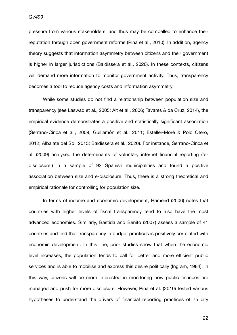*GV499*

*Candidate number: 37721* pressure from various stakeholders, and thus may be compelled to enhance their reputation through open government reforms (Pina et al., 2010). In addition, agency theory suggests that information asymmetry between citizens and their government is higher in larger jurisdictions (Baldissera et al., 2020). In these contexts, citizens will demand more information to monitor government activity. Thus, transparency becomes a tool to reduce agency costs and information asymmetry.

While some studies do not find a relationship between population size and transparency (see Laswad et al., 2005; Alt et al., 2006; Tavares & da Cruz, 2014), the empirical evidence demonstrates a positive and statistically significant association (Serrano-Cinca et al., 2009; Guillamón et al., 2011; Esteller-Moré & Polo Otero, 2012; Albalate del Sol, 2013; Baldissera et al., 2020). For instance, Serrano-Cinca et al. (2009) analysed the determinants of voluntary internet financial reporting ('edisclosure') in a sample of 92 Spanish municipalities and found a positive association between size and e-disclosure. Thus, there is a strong theoretical and empirical rationale for controlling for population size.

In terms of income and economic development, Hameed (2006) notes that countries with higher levels of fiscal transparency tend to also have the most advanced economies. Similarly, Bastida and Benito (2007) assess a sample of 41 countries and find that transparency in budget practices is positively correlated with economic development. In this line, prior studies show that when the economic level increases, the population tends to call for better and more efficient public services and is able to mobilise and express this desire politically (Ingram, 1984). In this way, citizens will be more interested in monitoring how public finances are managed and push for more disclosure. However, Pina et al. (2010) tested various hypotheses to understand the drivers of financial reporting practices of 75 city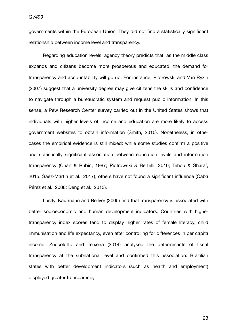governments within the European Union. They did not find a statistically significant relationship between income level and transparency.

Regarding education levels, agency theory predicts that, as the middle class expands and citizens become more prosperous and educated, the demand for transparency and accountability will go up. For instance, Piotrowski and Van Ryzin (2007) suggest that a university degree may give citizens the skills and confidence to navigate through a bureaucratic system and request public information. In this sense, a Pew Research Center survey carried out in the United States shows that individuals with higher levels of income and education are more likely to access government websites to obtain information (Smith, 2010). Nonetheless, in other cases the empirical evidence is still mixed: while some studies confirm a positive and statistically significant association between education levels and information transparency (Chan & Rubin, 1987; Piotrowski & Bertelli, 2010; Tehou & Sharaf, 2015, Saez-Martin et al., 2017), others have not found a significant influence (Caba Pérez et al., 2008; Deng et al., 2013).

Lastly, Kaufmann and Bellver (2005) find that transparency is associated with better socioeconomic and human development indicators. Countries with higher transparency index scores tend to display higher rates of female literacy, child immunisation and life expectancy, even after controlling for differences in per capita income. Zuccolotto and Teixeira (2014) analysed the determinants of fiscal transparency at the subnational level and confirmed this association: Brazilian states with better development indicators (such as health and employment) displayed greater transparency.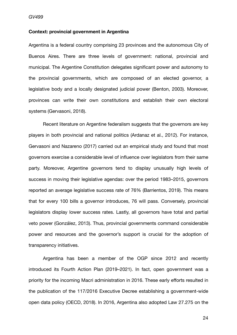#### <span id="page-24-0"></span>**Context: provincial government in Argentina**

Argentina is a federal country comprising 23 provinces and the autonomous City of Buenos Aires. There are three levels of government: national, provincial and municipal. The Argentine Constitution delegates significant power and autonomy to the provincial governments, which are composed of an elected governor, a legislative body and a locally designated judicial power (Benton, 2003). Moreover, provinces can write their own constitutions and establish their own electoral systems (Gervasoni, 2018).

Recent literature on Argentine federalism suggests that the governors are key players in both provincial and national politics (Ardanaz et al., 2012). For instance, Gervasoni and Nazareno (2017) carried out an empirical study and found that most governors exercise a considerable level of influence over legislators from their same party. Moreover, Argentine governors tend to display unusually high levels of success in moving their legislative agendas: over the period 1983–2015, governors reported an average legislative success rate of 76% (Barrientos, 2019). This means that for every 100 bills a governor introduces, 76 will pass. Conversely, provincial legislators display lower success rates. Lastly, all governors have total and partial veto power (González, 2013). Thus, provincial governments command considerable power and resources and the governor's support is crucial for the adoption of transparency initiatives.

Argentina has been a member of the OGP since 2012 and recently introduced its Fourth Action Plan (2019–2021). In fact, open government was a priority for the incoming Macri administration in 2016. These early efforts resulted in the publication of the 117/2016 Executive Decree establishing a government-wide open data policy (OECD, 2018). In 2016, Argentina also adopted Law 27.275 on the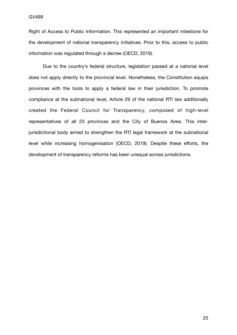Right of Access to Public Information. This represented an important milestone for the development of national transparency initiatives. Prior to this, access to public information was regulated through a decree (OECD, 2019).

Due to the country's federal structure, legislation passed at a national level does not apply directly to the provincial level. Nonetheless, the Constitution equips provinces with the tools to apply a federal law in their jurisdiction. To promote compliance at the subnational level, Article 29 of the national RTI law additionally created the Federal Council for Transparency, composed of high-level representatives of all 23 provinces and the City of Buenos Aires. This interjurisdictional body aimed to strengthen the RTI legal framework at the subnational level while increasing homogenisation (OECD, 2019). Despite these efforts, the development of transparency reforms has been unequal across jurisdictions.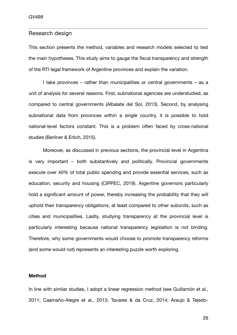#### <span id="page-26-0"></span>Research design

This section presents the method, variables and research models selected to test the main hypotheses. This study aims to gauge the fiscal transparency and strength of the RTI legal framework of Argentine provinces and explain the variation.

I take provinces – rather than municipalities or central governments – as a unit of analysis for several reasons. First, subnational agencies are understudied, as compared to central governments (Albalate del Sol, 2013). Second, by analysing subnational data from provinces within a single country, it is possible to hold national-level factors constant. This is a problem often faced by cross-national studies (Berliner & Erlich, 2015).

Moreover, as discussed in previous sections, the provincial level in Argentina is very important – both substantively and politically. Provincial governments execute over 40% of total public spending and provide essential services, such as education, security and housing (CIPPEC, 2019). Argentine governors particularly hold a significant amount of power, thereby increasing the probability that they will uphold their transparency obligations, at least compared to other subunits, such as cities and municipalities. Lastly, studying transparency at the provincial level is particularly interesting because national transparency legislation is not binding. Therefore, why some governments would choose to promote transparency reforms (and some would not) represents an interesting puzzle worth exploring.

#### <span id="page-26-1"></span>**Method**

In line with similar studies, I adopt a linear regression method (see Guillamón et al., 2011; Caamaño-Alegre et al., 2013; Tavares & da Cruz, 2014; Araujo & Tejedo-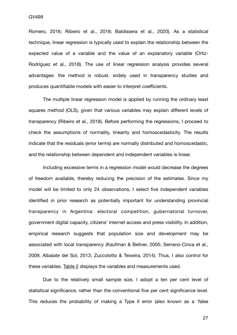#### *GV499*

Romero, 2016; Ribeiro et al., 2018; Baldissera et al., 2020). As a statistical technique, linear regression is typically used to explain the relationship between the expected value of a variable and the value of an explanatory variable (Ortiz-Rodríguez et al., 2018). The use of linear regression analysis provides several advantages: the method is robust, widely used in transparency studies and produces quantifiable models with easier to interpret coefficients.

The multiple linear regression model is applied by running the ordinary least squares method (OLS), given that various variables may explain different levels of transparency (Ribeiro et al., 2018). Before performing the regressions, I proceed to check the assumptions of normality, linearity and homoscedasticity. The results indicate that the residuals (error terms) are normally distributed and homoscedastic, and the relationship between dependent and independent variables is linear.

Including excessive terms in a regression model would decrease the degrees of freedom available, thereby reducing the precision of the estimates. Since my model will be limited to only 24 observations, I select five independent variables identified in prior research as potentially important for understanding provincial transparency in Argentina: electoral competition, gubernatorial turnover, government digital capacity, citizens' internet access and press visibility. In addition, empirical research suggests that population size and development may be associated with local transparency (Kaufman & Bellver, 2005; Serrano-Cinca et al., 2009; Albalate del Sol, 2013; Zuccolotto & Teixeira, 2014). Thus, I also control for these variables. [Table 2](#page-35-0) displays the variables and measurements used.

Due to the relatively small sample size, I adopt a ten per cent level of statistical significance, rather than the conventional five per cent significance level. This reduces the probability of making a Type II error (also known as a 'false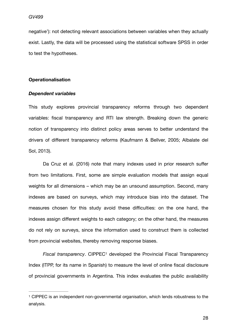negative'): not detecting relevant associations between variables when they actually exist. Lastly, the data will be processed using the statistical software SPSS in order to test the hypotheses.

#### <span id="page-28-0"></span>**Operationalisation**

#### *Dependent variables*

This study explores provincial transparency reforms through two dependent variables: fiscal transparency and RTI law strength. Breaking down the generic notion of transparency into distinct policy areas serves to better understand the drivers of different transparency reforms (Kaufmann & Bellver, 2005; Albalate del Sol, 2013).

Da Cruz et al. (2016) note that many indexes used in prior research suffer from two limitations. First, some are simple evaluation models that assign equal weights for all dimensions – which may be an unsound assumption. Second, many indexes are based on surveys, which may introduce bias into the dataset. The measures chosen for this study avoid these difficulties: on the one hand, the indexes assign different weights to each category; on the other hand, the measures do not rely on surveys, since the information used to construct them is collected from provincial websites, thereby removing response biases.

<span id="page-28-2"></span>*Fiscal transparency.* CIPPEC<sup>[1](#page-28-1)</sup> developed the Provincial Fiscal Transparency Index (ITPP, for its name in Spanish) to measure the level of online fiscal disclosure of provincial governments in Argentina. This index evaluates the public availability

<span id="page-28-1"></span><sup>&</sup>lt;sup>[1](#page-28-2)</sup> CIPPEC is an independent non-governmental organisation, which lends robustness to the analysis.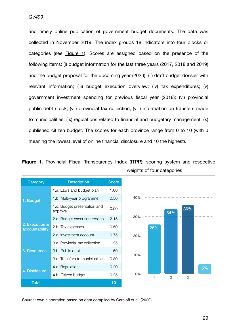and timely online publication of government budget documents. The data was collected in November 2019. The index groups 18 indicators into four blocks or categories (see [Figure 1](#page-29-0)). Scores are assigned based on the presence of the following items: (i) budget information for the last three years (2017, 2018 and 2019) and the budget proposal for the upcoming year (2020); (ii) draft budget dossier with relevant information; (iii) budget execution overview; (iv) tax expenditures; (v) government investment spending for previous fiscal year (2018); (vi) provincial public debt stock; (vii) provincial tax collection; (viii) information on transfers made to municipalities; (ix) regulations related to financial and budgetary management; (x) published citizen budget. The scores for each province range from 0 to 10 (with 0 meaning the lowest level of online financial disclosure and 10 the highest).



<span id="page-29-0"></span>**Figure 1**. Provincial Fiscal Transparency Index (ITPP): scoring system and respective weights of four categories

Source: own elaboration based on data compiled by Carciofi et al. (2020).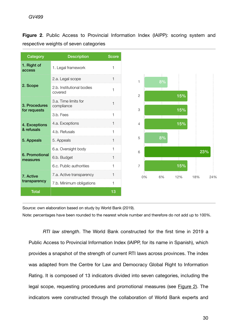|  |  |                                        | Figure 2. Public Access to Provincial Information Index (IAIPP): scoring system and |  |  |  |
|--|--|----------------------------------------|-------------------------------------------------------------------------------------|--|--|--|
|  |  | respective weights of seven categories |                                                                                     |  |  |  |

| Category                          | <b>Description</b>                   | <b>Score</b> |
|-----------------------------------|--------------------------------------|--------------|
| 1. Right of<br>access             | 1. Legal framework                   | 1            |
|                                   | 2.a. Legal scope                     | 1            |
| 2. Scope                          | 2.b. Institutional bodies<br>covered | 1            |
| 3. Procedures                     | 3.a. Time limits for<br>compliance   | 1            |
| for requests                      | 3.b. Fees                            | 1            |
| 4. Exceptions                     | 4.a. Exceptions                      | 1            |
| & refusals                        | 4.b. Refusals                        | 1            |
| 5. Appeals                        | 5. Appeals                           | 1            |
|                                   | 6.a. Oversight body                  | 1            |
| <b>6. Promotional</b><br>measures | 6.b. Budget                          | 1            |
|                                   | 6.c. Public authorities              | 1            |
| 7. Active                         | 7.a. Active transparency             | 1            |
| transparency                      | 7.b. Minimum obligations             | 1            |
| <b>Total</b>                      |                                      | 13           |

Source: own elaboration based on study by World Bank (2019).

Note: percentages have been rounded to the nearest whole number and therefore do not add up to 100%.

<span id="page-30-0"></span>*RTI law strength*. The World Bank constructed for the first time in 2019 a Public Access to Provincial Information Index (IAIPP, for its name in Spanish), which provides a snapshot of the strength of current RTI laws across provinces. The index was adapted from the Centre for Law and Democracy Global Right to Information Rating. It is composed of 13 indicators divided into seven categories, including the legal scope, requesting procedures and promotional measures (see [Figure 2](#page-30-0)). The indicators were constructed through the collaboration of World Bank experts and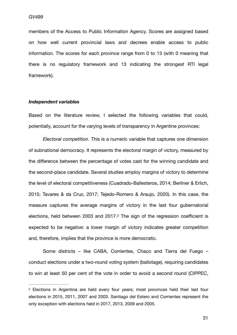members of the Access to Public Information Agency. Scores are assigned based on how well current provincial laws and decrees enable access to public information. The scores for each province range from 0 to 13 (with 0 meaning that there is no regulatory framework and 13 indicating the strongest RTI legal framework).

#### *Independent variables*

Based on the literature review, I selected the following variables that could, potentially, account for the varying levels of transparency in Argentine provinces:

*Electoral competition*. This is a numeric variable that captures one dimension of subnational democracy. It represents the electoral margin of victory, measured by the difference between the percentage of votes cast for the winning candidate and the second-place candidate. Several studies employ margins of victory to determine the level of electoral competitiveness (Cuadrado-Ballesteros, 2014; Berliner & Erlich, 2015; Tavares & da Cruz, 2017; Tejedo-Romero & Araujo, 2020). In this case, the measure captures the average margins of victory in the last four gubernatorial elections, held between 2003 and 2017. $2$  The sign of the regression coefficient is expected to be negative: a lower margin of victory indicates greater competition and, therefore, implies that the province is more democratic.

<span id="page-31-1"></span>Some districts – like CABA, Corrientes, Chaco and Tierra del Fuego – conduct elections under a two-round voting system (ballotage), requiring candidates to win at least 50 per cent of the vote in order to avoid a second round (CIPPEC,

<span id="page-31-0"></span><sup>&</sup>lt;sup>[2](#page-31-1)</sup> Elections in Argentina are held every four years; most provinces held their last four elections in 2015, 2011, 2007 and 2003. Santiago del Estero and Corrientes represent the only exception with elections held in 2017, 2013, 2009 and 2005.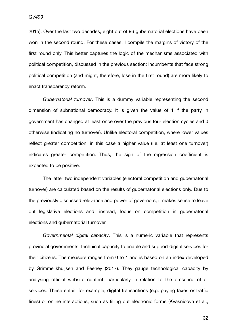*Candidate number: 37721* 2015). Over the last two decades, eight out of 96 gubernatorial elections have been won in the second round. For these cases, I compile the margins of victory of the first round only. This better captures the logic of the mechanisms associated with political competition, discussed in the previous section: incumbents that face strong political competition (and might, therefore, lose in the first round) are more likely to enact transparency reform.

*Gubernatorial turnover*. This is a dummy variable representing the second dimension of subnational democracy. It is given the value of 1 if the party in government has changed at least once over the previous four election cycles and 0 otherwise (indicating no turnover). Unlike electoral competition, where lower values reflect greater competition, in this case a higher value (i.e. at least one turnover) indicates greater competition. Thus, the sign of the regression coefficient is expected to be positive.

The latter two independent variables (electoral competition and gubernatorial turnover) are calculated based on the results of gubernatorial elections only. Due to the previously discussed relevance and power of governors, it makes sense to leave out legislative elections and, instead, focus on competition in gubernatorial elections and gubernatorial turnover.

*Governmental digital capacity*. This is a numeric variable that represents provincial governments' technical capacity to enable and support digital services for their citizens. The measure ranges from 0 to 1 and is based on an index developed by Grimmelikhuijsen and Feeney (2017). They gauge technological capacity by analysing official website content, particularly in relation to the presence of eservices. These entail, for example, digital transactions (e.g. paying taxes or traffic fines) or online interactions, such as filling out electronic forms (Kvasnicova et al.,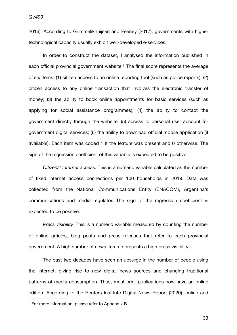2016). According to Grimmelikhuijsen and Feeney (2017), governments with higher technological capacity usually exhibit well-developed e-services.

<span id="page-33-1"></span>In order to construct the dataset, I analysed the information published in each official provincial government website.<sup>[3](#page-33-0)</sup> The final score represents the average of six items: (1) citizen access to an online reporting tool (such as police reports); (2) citizen access to any online transaction that involves the electronic transfer of money; (3) the ability to book online appointments for basic services (such as applying for social assistance programmes); (4) the ability to contact the government directly through the website; (5) access to personal user account for government digital services; (6) the ability to download official mobile application (if available). Each item was coded 1 if the feature was present and 0 otherwise. The sign of the regression coefficient of this variable is expected to be positive.

*Citizens' internet access*. This is a numeric variable calculated as the number of fixed internet access connections per 100 households in 2019. Data was collected from the National Communications Entity (ENACOM), Argentina's communications and media regulator. The sign of the regression coefficient is expected to be positive.

*Press visibility.* This is a numeric variable measured by counting the number of online articles, blog posts and press releases that refer to each provincial government. A high number of news items represents a high press visibility.

<span id="page-33-0"></span>The past two decades have seen an upsurge in the number of people using the internet, giving rise to new digital news sources and changing traditional patterns of media consumption. Thus, most print publications now have an online edition. According to the Reuters Institute Digital News Report (2020), online and <sup>3</sup> For more information, please refer to [Appendix B.](#page-72-0)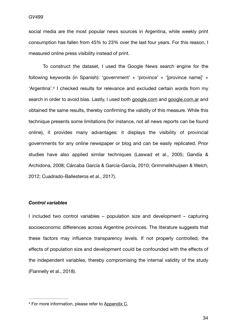social media are the most popular news sources in Argentina, while weekly print consumption has fallen from 45% to 23% over the last four years. For this reason, I measured online press visibility instead of print.

<span id="page-34-1"></span>To construct the dataset, I used the Google News search engine for the following keywords (in Spanish): 'government' + 'province' + '[province name]' + 'Argentina'[.](#page-34-0)<sup>[4](#page-34-0)</sup> I checked results for relevance and excluded certain words from my search in order to avoid bias. Lastly, I used both [google.com](http://google.com) and [google.com.ar](http://google.com.ar) and obtained the same results, thereby confirming the validity of this measure. While this technique presents some limitations (for instance, not all news reports can be found online), it provides many advantages: it displays the visibility of provincial governments for any online newspaper or blog and can be easily replicated. Prior studies have also applied similar techniques (Laswad et al., 2005; Gandía & Archidona, 2008; Cárcaba García & García-García, 2010; Grimmelikhuijsen & Welch, 2012; Cuadrado-Ballesteros et al., 2017).

#### *Control variables*

I included two control variables – population size and development – capturing socioeconomic differences across Argentine provinces. The literature suggests that these factors may influence transparency levels. If not properly controlled, the effects of population size and development could be confounded with the effects of the independent variables, thereby compromising the internal validity of the study (Flannelly et al., 2018).

<span id="page-34-0"></span><sup>&</sup>lt;sup>4</sup> For more information, please refer to [Appendix C](#page-72-0).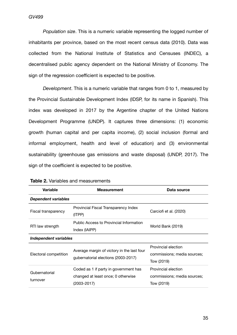*Population size*. This is a numeric variable representing the logged number of inhabitants per province, based on the most recent census data (2010). Data was collected from the National Institute of Statistics and Censuses (INDEC), a decentralised public agency dependent on the National Ministry of Economy. The sign of the regression coefficient is expected to be positive.

*Development*. This is a numeric variable that ranges from 0 to 1, measured by the Provincial Sustainable Development Index (IDSP, for its name in Spanish). This index was developed in 2017 by the Argentine chapter of the United Nations Development Programme (UNDP). It captures three dimensions: (1) economic growth (human capital and per capita income), (2) social inclusion (formal and informal employment, health and level of education) and (3) environmental sustainability (greenhouse gas emissions and waste disposal) (UNDP, 2017). The sign of the coefficient is expected to be positive.

| <b>Variable</b>            | <b>Measurement</b>                                                                         | Data source                                                      |  |  |  |  |
|----------------------------|--------------------------------------------------------------------------------------------|------------------------------------------------------------------|--|--|--|--|
| <b>Dependent variables</b> |                                                                                            |                                                                  |  |  |  |  |
| Fiscal transparency        | Provincial Fiscal Transparency Index<br>(ITPP)                                             | Carciofi et al. (2020)                                           |  |  |  |  |
| RTI law strength           | Public Access to Provincial Information<br>Index (IAIPP)                                   | World Bank (2019)                                                |  |  |  |  |
| Independent variables      |                                                                                            |                                                                  |  |  |  |  |
| Electoral competition      | Average margin of victory in the last four<br>gubernatorial elections (2003-2017)          | Provincial election<br>commissions; media sources;<br>Tow (2019) |  |  |  |  |
| Gubernatorial<br>turnover  | Coded as 1 if party in government has<br>changed at least once; 0 otherwise<br>(2003-2017) | Provincial election<br>commissions; media sources;<br>Tow (2019) |  |  |  |  |

<span id="page-35-0"></span>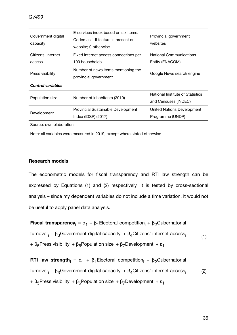| Government digital<br>capacity                                                   | E-services index based on six items.<br>Coded as 1 if feature is present on<br>website; 0 otherwise | Provincial government<br>websites                        |
|----------------------------------------------------------------------------------|-----------------------------------------------------------------------------------------------------|----------------------------------------------------------|
| Citizens' internet<br>access                                                     | Fixed internet access connections per<br>100 households                                             | <b>National Communications</b><br>Entity (ENACOM)        |
| Number of news items mentioning the<br>Press visibility<br>provincial government |                                                                                                     | Google News search engine                                |
| <b>Control variables</b>                                                         |                                                                                                     |                                                          |
| Population size                                                                  | Number of inhabitants (2010)                                                                        | National Institute of Statistics<br>and Censuses (INDEC) |
| Development                                                                      | Provincial Sustainable Development<br>Index (IDSP) (2017)                                           | United Nations Development<br>Programme (UNDP)           |

Source: own elaboration.

Note: all variables were measured in 2019, except where stated otherwise.

## **Research models**

The econometric models for fiscal transparency and RTI law strength can be expressed by Equations (1) and (2) respectively. It is tested by cross-sectional analysis – since my dependent variables do not include a time variation, it would not be useful to apply panel data analysis.

**Fiscal transparency**<sub>i</sub> =  $\alpha_1$  +  $\beta_1$ Electoral competition<sub>i</sub> +  $\beta_2$ Gubernatorial turnover<sub>i</sub> + β<sub>3</sub>Government digital capacity<sub>i</sub> + β<sub>4</sub>Citizens' internet access<sub>i</sub> + β<sub>5</sub>Press visibility<sub>i</sub> + β<sub>6</sub>Population size<sub>i</sub> + β<sub>7</sub>Development<sub>i</sub> + ε<sub>1</sub> (1)

**RTI law strength**<sub>i</sub> =  $a_1 + \beta_1$ Electoral competition<sub>i</sub> +  $\beta_2$ Gubernatorial turnover<sub>i</sub> + β<sub>3</sub>Government digital capacity<sub>i</sub> + β<sub>4</sub>Citizens' internet access<sub>i</sub> + β<sub>5</sub>Press visibility<sub>i</sub> + β<sub>6</sub>Population size<sub>i</sub> + β<sub>7</sub>Development<sub>i</sub> + ε<sub>1</sub> (2)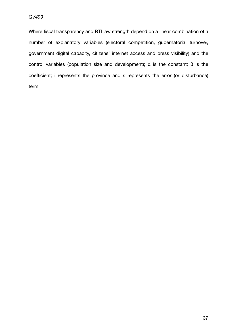Where fiscal transparency and RTI law strength depend on a linear combination of a number of explanatory variables (electoral competition, gubernatorial turnover, government digital capacity, citizens' internet access and press visibility) and the control variables (population size and development); α is the constant; β is the coefficient; i represents the province and ε represents the error (or disturbance) term.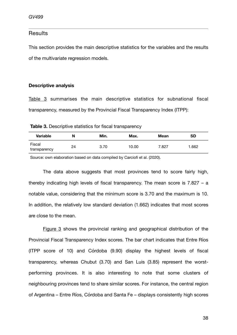## **Results**

This section provides the main descriptive statistics for the variables and the results of the multivariate regression models.

### **Descriptive analysis**

[Table 3](#page-38-0) summarises the main descriptive statistics for subnational fiscal transparency, measured by the Provincial Fiscal Transparency Index (ITPP):

<span id="page-38-0"></span>**Table 3.** Descriptive statistics for fiscal transparency

| <b>Variable</b>        | N  | Min. | Max.  | <b>Mean</b> | SD    |
|------------------------|----|------|-------|-------------|-------|
| Fiscal<br>transparency | 24 | 3.70 | 10.00 | 7.827       | 1.662 |

Source: own elaboration based on data compiled by Carciofi et al. (2020).

The data above suggests that most provinces tend to score fairly high, thereby indicating high levels of fiscal transparency. The mean score is 7.827 – a notable value, considering that the minimum score is 3.70 and the maximum is 10. In addition, the relatively low standard deviation (1.662) indicates that most scores are close to the mean.

[Figure 3](#page-39-0) shows the provincial ranking and geographical distribution of the Provincial Fiscal Transparency Index scores. The bar chart indicates that Entre Ríos (ITPP score of 10) and Córdoba (9.90) display the highest levels of fiscal transparency, whereas Chubut (3.70) and San Luis (3.85) represent the worstperforming provinces. It is also interesting to note that some clusters of neighbouring provinces tend to share similar scores. For instance, the central region of Argentina – Entre Ríos, Córdoba and Santa Fe – displays consistently high scores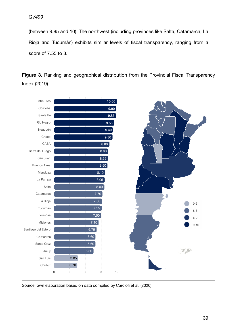<span id="page-39-0"></span>(between 9.85 and 10). The northwest (including provinces like Salta, Catamarca, La Rioja and Tucumán) exhibits similar levels of fiscal transparency, ranging from a score of 7.55 to 8.

**Figure 3**. Ranking and geographical distribution from the Provincial Fiscal Transparency Index (2019)



Source: own elaboration based on data compiled by Carciofi et al. (2020).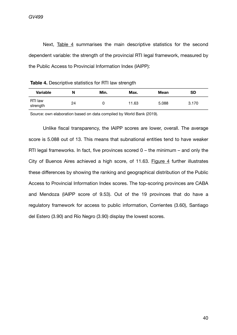Next, [Table 4](#page-40-0) summarises the main descriptive statistics for the second dependent variable: the strength of the provincial RTI legal framework, measured by the Public Access to Provincial Information Index (IAIPP):

<span id="page-40-0"></span>

| Table 4. Descriptive statistics for RTI law strength |  |  |  |
|------------------------------------------------------|--|--|--|
|------------------------------------------------------|--|--|--|

| <b>Variable</b>     | N  | Min. | Max.  | <b>Mean</b> | SD    |
|---------------------|----|------|-------|-------------|-------|
| RTI law<br>strength | 24 |      | 11.63 | 5.088       | 3.170 |

Source: own elaboration based on data compiled by World Bank (2019).

<span id="page-40-1"></span>Unlike fiscal transparency, the IAIPP scores are lower, overall. The average score is 5.088 out of 13. This means that subnational entities tend to have weaker RTI legal frameworks. In fact, five provinces scored  $0$  – the minimum – and only the City of Buenos Aires achieved a high score, of 11.63. [Figure 4](#page-40-1) further illustrates these differences by showing the ranking and geographical distribution of the Public Access to Provincial Information Index scores. The top-scoring provinces are CABA and Mendoza (IAIPP score of 9.53). Out of the 19 provinces that do have a regulatory framework for access to public information, Corrientes (3.60), Santiago del Estero (3.90) and Río Negro (3.90) display the lowest scores.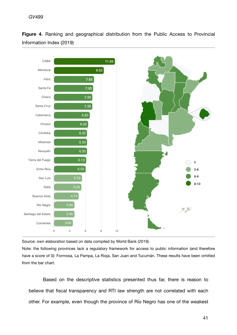## *GV499*

**Figure 4**. Ranking and geographical distribution from the Public Access to Provincial Information Index (2019)



Source: own elaboration based on data compiled by World Bank (2019).

Note: the following provinces lack a regulatory framework for access to public information (and therefore have a score of 0): Formosa, La Pampa, La Rioja, San Juan and Tucumán. These results have been omitted from the bar chart.

Based on the descriptive statistics presented thus far, there is reason to believe that fiscal transparency and RTI law strength are not correlated with each other. For example, even though the province of Río Negro has one of the weakest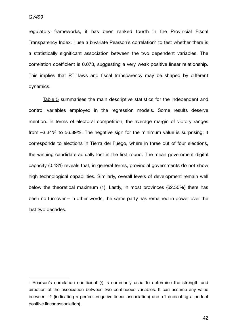<span id="page-42-1"></span>regulatory frameworks, it has been ranked fourth in the Provincial Fiscal Transparency Index. I use a bivariate Pearson's correlation<sup>[5](#page-42-0)</sup> to test whether there is a statistically significant association between the two dependent variables. The correlation coefficient is 0.073, suggesting a very weak positive linear relationship. This implies that RTI laws and fiscal transparency may be shaped by different dynamics.

[Table 5](#page-42-2) summarises the main descriptive statistics for the independent and control variables employed in the regression models. Some results deserve mention. In terms of electoral competition, the average margin of victory ranges from –3.34% to 56.89%. The negative sign for the minimum value is surprising; it corresponds to elections in Tierra del Fuego, where in three out of four elections, the winning candidate actually lost in the first round. The mean government digital capacity (0.431) reveals that, in general terms, provincial governments do not show high technological capabilities. Similarly, overall levels of development remain well below the theoretical maximum (1). Lastly, in most provinces (62.50%) there has been no turnover – in other words, the same party has remained in power over the last two decades.

<span id="page-42-2"></span><span id="page-42-0"></span> $5$  Pearson's correlation coefficient (r) is commonly used to determine the strength and direction of the association between two continuous variables. It can assume any value between –1 (indicating a perfect negative linear association) and +1 (indicating a perfect positive linear association).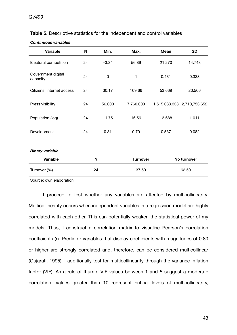| <b>Continuous variables</b>    |    |         |                                |             |                             |
|--------------------------------|----|---------|--------------------------------|-------------|-----------------------------|
| <b>Variable</b>                | N  | Min.    | Max.                           | <b>Mean</b> | <b>SD</b>                   |
| Electoral competition          | 24 | $-3.34$ | 56.89                          | 21.270      | 14.743                      |
| Government digital<br>capacity | 24 | 0       | 1                              | 0.431       | 0.333                       |
| Citizens' internet access      | 24 | 30.17   | 109.66                         | 53.669      | 20.506                      |
| Press visibility               | 24 | 56,000  | 7,760,000                      |             | 1,515,033.333 2,710,753.652 |
| Population (log)               | 24 | 11.75   | 16.56                          | 13.688      | 1.011                       |
| Development                    | 24 | 0.31    | 0.79<br>0.537                  |             | 0.082                       |
| <b>Binary variable</b>         |    |         |                                |             |                             |
| <b>Variable</b>                |    | N       | <b>Turnover</b><br>No turnover |             |                             |
| Turnover (%)                   |    | 24      | 37.50<br>62.50                 |             |                             |

Source: own elaboration.

I proceed to test whether any variables are affected by multicollinearity. Multicollinearity occurs when independent variables in a regression model are highly correlated with each other. This can potentially weaken the statistical power of my models. Thus, I construct a correlation matrix to visualise Pearson's correlation coefficients (r). Predictor variables that display coefficients with magnitudes of 0.80 or higher are strongly correlated and, therefore, can be considered multicollinear (Gujarati, 1995). I additionally test for multicollinearity through the variance inflation factor (VIF). As a rule of thumb, VIF values between 1 and 5 suggest a moderate correlation. Values greater than 10 represent critical levels of multicollinearity,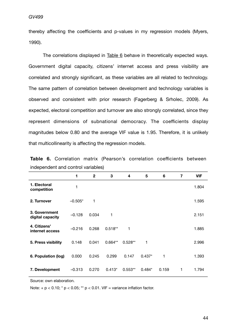thereby affecting the coefficients and p-values in my regression models (Myers, 1990).

The correlations displayed in [Table 6](#page-44-0) behave in theoretically expected ways. Government digital capacity, citizens' internet access and press visibility are correlated and strongly significant, as these variables are all related to technology. The same pattern of correlation between development and technology variables is observed and consistent with prior research (Fagerberg & Srholec, 2009). As expected, electoral competition and turnover are also strongly correlated, since they represent dimensions of subnational democracy. The coefficients display magnitudes below 0.80 and the average VIF value is 1.95. Therefore, it is unlikely that multicollinearity is affecting the regression models.

|                                   | 1         | $\mathbf{2}$ | 3         | 4         | 5        | 6     | 7 | <b>VIF</b> |
|-----------------------------------|-----------|--------------|-----------|-----------|----------|-------|---|------------|
| 1. Electoral<br>competition       |           |              |           |           |          |       |   | 1.804      |
| 2. Turnover                       | $-0.505*$ | 1            |           |           |          |       |   | 1.595      |
| 3. Government<br>digital capacity | $-0.128$  | 0.034        | 1         |           |          |       |   | 2.151      |
| 4. Citizens'<br>internet access   | $-0.216$  | 0.268        | $0.518**$ | 1         |          |       |   | 1.885      |
| 5. Press visibility               | 0.148     | 0.041        | $0.664**$ | $0.528**$ | 1        |       |   | 2.996      |
| 6. Population (log)               | 0.000     | 0.245        | 0.299     | 0.147     | $0.437*$ | 1     |   | 1.393      |
| 7. Development                    | $-0.313$  | 0.270        | $0.413*$  | $0.553**$ | $0.484*$ | 0.159 | 1 | 1.794      |

<span id="page-44-0"></span>

|  |                                    |  | Table 6. Correlation matrix (Pearson's correlation coefficients between |  |
|--|------------------------------------|--|-------------------------------------------------------------------------|--|
|  | independent and control variables) |  |                                                                         |  |

Source: own elaboration.

Note:  $+p < 0.10$ ; \*  $p < 0.05$ ; \*\*  $p < 0.01$ . VIF = variance inflation factor.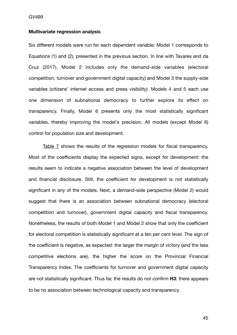#### **Multivariate regression analysis**

Six different models were run for each dependent variable: Model 1 corresponds to Equations (1) and (2), presented in the previous section. In line with Tavares and da Cruz (2017), Model 2 includes only the demand-side variables (electoral competition, turnover and government digital capacity) and Model 3 the supply-side variables (citizens' internet access and press visibility). Models 4 and 5 each use one dimension of subnational democracy to further explore its effect on transparency. Finally, Model 6 presents only the most statistically significant variables, thereby improving the model's precision. All models (except Model 6) control for population size and development.

[Table 7](#page-47-0) shows the results of the regression models for fiscal transparency. Most of the coefficients display the expected signs, except for development: the results seem to indicate a negative association between the level of development and financial disclosure. Still, the coefficient for development is not statistically significant in any of the models. Next, a demand-side perspective (Model 2) would suggest that there is an association between subnational democracy (electoral competition and turnover), government digital capacity and fiscal transparency. Nonetheless, the results of both Model 1 and Model 2 show that only the coefficient for electoral competition is statistically significant at a ten per cent level. The sign of the coefficient is negative, as expected: the larger the margin of victory (and the less competitive elections are), the higher the score on the Provincial Financial Transparency Index. The coefficients for turnover and government digital capacity are not statistically significant. Thus far, the results do not confirm **H3**: there appears to be no association between technological capacity and transparency.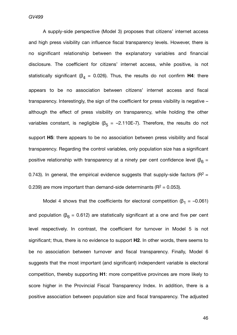*GV499*

A supply-side perspective (Model 3) proposes that citizens' internet access and high press visibility can influence fiscal transparency levels. However, there is no significant relationship between the explanatory variables and financial disclosure. The coefficient for citizens' internet access, while positive, is not statistically significant ( $\beta_4$  = 0.026). Thus, the results do not confirm **H4**: there appears to be no association between citizens' internet access and fiscal transparency. Interestingly, the sign of the coefficient for press visibility is negative – although the effect of press visibility on transparency, while holding the other variables constant, is negligible ( $\beta$ <sub>5</sub> = -2.110E-7). Therefore, the results do not support **H5**: there appears to be no association between press visibility and fiscal transparency. Regarding the control variables, only population size has a significant positive relationship with transparency at a ninety per cent confidence level ( $\beta_6$  = 0.743). In general, the empirical evidence suggests that supply-side factors ( $R^2$  = 0.239) are more important than demand-side determinants ( $R^2 = 0.053$ ).

Model 4 shows that the coefficients for electoral competition ( $\beta_1$  = -0.061) and population ( $\beta_6 = 0.612$ ) are statistically significant at a one and five per cent level respectively. In contrast, the coefficient for turnover in Model 5 is not significant; thus, there is no evidence to support **H2**. In other words, there seems to be no association between turnover and fiscal transparency. Finally, Model 6 suggests that the most important (and significant) independent variable is electoral competition, thereby supporting **H1**: more competitive provinces are more likely to score higher in the Provincial Fiscal Transparency Index. In addition, there is a positive association between population size and fiscal transparency. The adjusted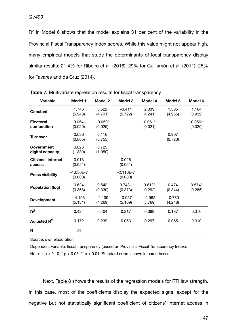R2 in Model 6 shows that the model explains 31 per cent of the variability in the Provincial Fiscal Transparency Index scores. While this value might not appear high, many empirical models that study the determinants of local transparency display similar results: 21.4% for Ribeiro et al. (2018); 29% for Guillamón et al. (2011); 25% for Tavares and da Cruz (2014).

| <b>Variable</b>                     | Model 1                  | Model 2              | Model 3                  | Model 4               | Model 5             | Model 6               |
|-------------------------------------|--------------------------|----------------------|--------------------------|-----------------------|---------------------|-----------------------|
| <b>Constant</b>                     | 1.746<br>(5.948)         | 3.522<br>(4.791)     | $-3.411$<br>(5.722)      | 2.339<br>(4.241)      | 1.385<br>(4.955)    | 1.164<br>(3.932)      |
| <b>Electoral</b><br>competition     | $-0.054+$<br>(0.029)     | $-0.059*$<br>(0.025) |                          | $-0.061**$<br>(0.021) |                     | $-0.056**$<br>(0.020) |
| <b>Turnover</b>                     | 0.036<br>(0.805)         | 0.116<br>(0.755)     |                          |                       | 0.907<br>(0.720)    |                       |
| Government<br>digital capacity      | 0.826<br>(1.389)         | 0.725<br>(1.050)     |                          |                       |                     |                       |
| <b>Citizens' internet</b><br>access | 0.013<br>(0.021)         |                      | 0.026<br>(0.021)         |                       |                     |                       |
| <b>Press visibility</b>             | $-1.036E - 7$<br>(0.000) |                      | $-2.110E - 7$<br>(0.000) |                       |                     |                       |
| <b>Population (log)</b>             | 0.624<br>(0.368)         | 0.542<br>(0.330)     | $0.743+$<br>(0.373)      | $0.612*$<br>(0.292)   | 0.474<br>(0.344)    | $0.574*$<br>(0.285)   |
| <b>Development</b>                  | $-4.193$<br>(5.131)      | $-4.109$<br>(4.269)  | $-0.057$<br>(5.109)      | $-2.962$<br>(3.769)   | $-0.730$<br>(4.248) |                       |
| $R^2$                               | 0.424                    | 0.404                | 0.217                    | 0.389                 | 0.187               | 0.370                 |
| Adjusted R <sup>2</sup>             | 0.172                    | 0.239                | 0.053                    | 0.297                 | 0.065               | 0.310                 |
| N                                   | 24                       |                      |                          |                       |                     |                       |

<span id="page-47-0"></span>**Table 7.** Multivariate regression results for fiscal transparency

Source: own elaboration.

Dependent variable: fiscal transparency (based on Provincial Fiscal Transparency Index). Note:  $+p < 0.10$ ; \*  $p < 0.05$ ; \*\*  $p < 0.01$ . Standard errors shown in parentheses.

Next, [Table 8](#page-49-0) shows the results of the regression models for RTI law strength. In this case, most of the coefficients display the expected signs, except for the negative but not statistically significant coefficient of citizens' internet access in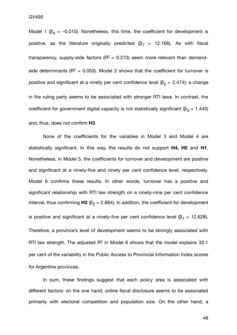Model 1 ( $\beta_4$  = -0.010). Nonetheless, this time, the coefficient for development is positive, as the literature originally predicted (β<sub>7</sub> = 12.166). As with fiscal transparency, supply-side factors ( $R^2 = 0.273$ ) seem more relevant than demandside determinants ( $R^2 = 0.053$ ). Model 2 shows that the coefficient for turnover is positive and significant at a ninety per cent confidence level ( $\beta_2$  = 2.474): a change in the ruling party seems to be associated with stronger RTI laws. In contrast, the coefficient for government digital capacity is not statistically significant ( $\beta_3$  = 1.445) and, thus, does not confirm **H3**.

None of the coefficients for the variables in Model 3 and Model 4 are statistically significant. In this way, the results do not support **H4, H5** and **H1**. Nonetheless, in Model 5, the coefficients for turnover and development are positive and significant at a ninety-five and ninety per cent confidence level, respectively. Model 6 confirms these results. In other words, turnover has a positive and significant relationship with RTI law strength on a ninety-nine per cent confidence interval, thus confirming  $H2$  ( $\beta$ <sub>2</sub> = 2.884). In addition, the coefficient for development

is positive and significant at a ninety-five per cent confidence level ( $\beta$ <sub>7</sub> = 12.628). Therefore, a province's level of development seems to be strongly associated with RTI law strength. The adjusted  $R^2$  in Model 6 shows that the model explains 33.1 per cent of the variability in the Public Access to Provincial Information Index scores for Argentine provinces.

In sum, these findings suggest that each policy area is associated with different factors: on the one hand, online fiscal disclosure seems to be associated primarily with electoral competition and population size. On the other hand, a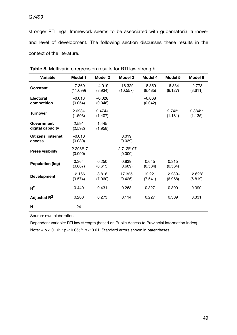stronger RTI legal framework seems to be associated with gubernatorial turnover and level of development. The following section discusses these results in the context of the literature.

| <b>Variable</b>                 | <b>Model 1</b>           | <b>Model 2</b>      | Model 3                 | Model 4             | Model 5              | Model 6             |
|---------------------------------|--------------------------|---------------------|-------------------------|---------------------|----------------------|---------------------|
| Constant                        | $-7.369$<br>(11.099)     | $-4.019$<br>(8.934) | $-16.329$<br>(10.557)   | $-8.859$<br>(8.485) | $-6.834$<br>(8.127)  | $-2.778$<br>(3.611) |
| <b>Electoral</b><br>competition | $-0.013$<br>(0.054)      | $-0.028$<br>(0.046) |                         | $-0.068$<br>(0.042) |                      |                     |
| <b>Turnover</b>                 | $2.623+$<br>(1.503)      | $2.474+$<br>(1.407) |                         |                     | $2.743*$<br>(1.181)  | 2.884**<br>(1.135)  |
| Government<br>digital capacity  | 2.591<br>(2.592)         | 1.445<br>(1.958)    |                         |                     |                      |                     |
| Citizens' internet<br>access    | $-0.010$<br>(0.039)      |                     | 0.019<br>(0.039)        |                     |                      |                     |
| <b>Press visibility</b>         | $-2.208E - 7$<br>(0.000) |                     | $-2.712E-07$<br>(0.000) |                     |                      |                     |
| Population (log)                | 0.364<br>(0.687)         | 0.250<br>(0.615)    | 0.839<br>(0.689)        | 0.645<br>(0.584)    | 0.315<br>(0.564)     |                     |
| <b>Development</b>              | 12.166<br>(9.574)        | 8.816<br>(7.960)    | 17.325<br>(9.426)       | 12.221<br>(7.541)   | $12.239+$<br>(6.968) | 12.628*<br>(6.819)  |
| $R^2$                           | 0.449                    | 0.431               | 0.268                   | 0.327               | 0.399                | 0.390               |
| Adjusted R <sup>2</sup>         | 0.208                    | 0.273               | 0.114                   | 0.227               | 0.309                | 0.331               |
| N                               | 24                       |                     |                         |                     |                      |                     |

<span id="page-49-0"></span>**Table 8.** Multivariate regression results for RTI law strength

Source: own elaboration.

Dependent variable: RTI law strength (based on Public Access to Provincial Information Index). Note:  $+p < 0.10$ ; \*  $p < 0.05$ ; \*\*  $p < 0.01$ . Standard errors shown in parentheses.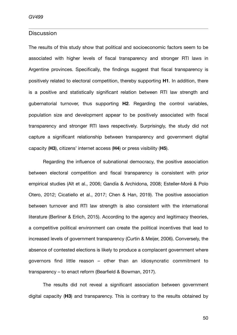## **Discussion**

The results of this study show that political and socioeconomic factors seem to be associated with higher levels of fiscal transparency and stronger RTI laws in Argentine provinces. Specifically, the findings suggest that fiscal transparency is positively related to electoral competition, thereby supporting **H1**. In addition, there is a positive and statistically significant relation between RTI law strength and gubernatorial turnover, thus supporting **H2**. Regarding the control variables, population size and development appear to be positively associated with fiscal transparency and stronger RTI laws respectively. Surprisingly, the study did not capture a significant relationship between transparency and government digital capacity (**H3**), citizens' internet access (**H4**) or press visibility (**H5**).

Regarding the influence of subnational democracy, the positive association between electoral competition and fiscal transparency is consistent with prior empirical studies (Alt et al., 2006; Gandía & Archidona, 2008; Esteller-Moré & Polo Otero, 2012; Cicatiello et al., 2017; Chen & Han, 2019). The positive association between turnover and RTI law strength is also consistent with the international literature (Berliner & Erlich, 2015). According to the agency and legitimacy theories, a competitive political environment can create the political incentives that lead to increased levels of government transparency (Curtin & Meijer, 2006). Conversely, the absence of contested elections is likely to produce a complacent government where governors find little reason – other than an idiosyncratic commitment to transparency – to enact reform (Bearfield & Bowman, 2017).

The results did not reveal a significant association between government digital capacity (**H3**) and transparency. This is contrary to the results obtained by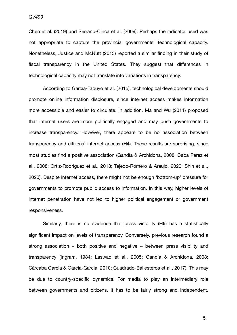Chen et al. (2019) and Serrano-Cinca et al. (2009). Perhaps the indicator used was not appropriate to capture the provincial governments' technological capacity. Nonetheless, Justice and McNutt (2013) reported a similar finding in their study of fiscal transparency in the United States. They suggest that differences in technological capacity may not translate into variations in transparency.

According to García-Tabuyo et al. (2015), technological developments should promote online information disclosure, since internet access makes information more accessible and easier to circulate. In addition, Ma and Wu (2011) proposed that internet users are more politically engaged and may push governments to increase transparency. However, there appears to be no association between transparency and citizens' internet access (**H4**). These results are surprising, since most studies find a positive association (Gandía & Archidona, 2008; Caba Pérez et al., 2008; Ortiz-Rodríguez et al., 2018; Tejedo-Romero & Araujo, 2020; Shin et al., 2020). Despite internet access, there might not be enough 'bottom-up' pressure for governments to promote public access to information. In this way, higher levels of internet penetration have not led to higher political engagement or government responsiveness.

Similarly, there is no evidence that press visibility (**H5**) has a statistically significant impact on levels of transparency. Conversely, previous research found a strong association – both positive and negative – between press visibility and transparency (Ingram, 1984; Laswad et al., 2005; Gandía & Archidona, 2008; Cárcaba García & García-García, 2010; Cuadrado-Ballesteros et al., 2017). This may be due to country-specific dynamics. For media to play an intermediary role between governments and citizens, it has to be fairly strong and independent.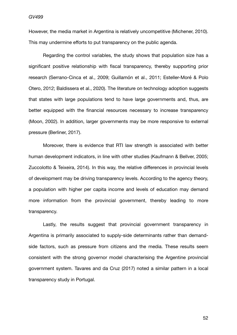However, the media market in Argentina is relatively uncompetitive (Michener, 2010). This may undermine efforts to put transparency on the public agenda.

Regarding the control variables, the study shows that population size has a significant positive relationship with fiscal transparency, thereby supporting prior research (Serrano-Cinca et al., 2009; Guillamón et al., 2011; Esteller-Moré & Polo Otero, 2012; Baldissera et al., 2020). The literature on technology adoption suggests that states with large populations tend to have large governments and, thus, are better equipped with the financial resources necessary to increase transparency (Moon, 2002). In addition, larger governments may be more responsive to external pressure (Berliner, 2017).

Moreover, there is evidence that RTI law strength is associated with better human development indicators, in line with other studies (Kaufmann & Bellver, 2005; Zuccolotto & Teixeira, 2014). In this way, the relative differences in provincial levels of development may be driving transparency levels. According to the agency theory, a population with higher per capita income and levels of education may demand more information from the provincial government, thereby leading to more transparency.

Lastly, the results suggest that provincial government transparency in Argentina is primarily associated to supply-side determinants rather than demandside factors, such as pressure from citizens and the media. These results seem consistent with the strong governor model characterising the Argentine provincial government system. Tavares and da Cruz (2017) noted a similar pattern in a local transparency study in Portugal.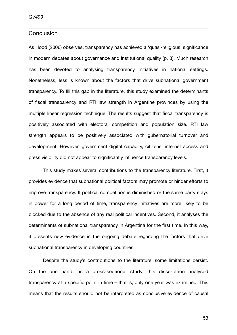## **Conclusion**

As Hood (2006) observes, transparency has achieved a 'quasi-religious' significance in modern debates about governance and institutional quality (p. 3). Much research has been devoted to analysing transparency initiatives in national settings. Nonetheless, less is known about the factors that drive subnational government transparency. To fill this gap in the literature, this study examined the determinants of fiscal transparency and RTI law strength in Argentine provinces by using the multiple linear regression technique. The results suggest that fiscal transparency is positively associated with electoral competition and population size. RTI law strength appears to be positively associated with gubernatorial turnover and development. However, government digital capacity, citizens' internet access and press visibility did not appear to significantly influence transparency levels.

This study makes several contributions to the transparency literature. First, it provides evidence that subnational political factors may promote or hinder efforts to improve transparency. If political competition is diminished or the same party stays in power for a long period of time, transparency initiatives are more likely to be blocked due to the absence of any real political incentives. Second, it analyses the determinants of subnational transparency in Argentina for the first time. In this way, it presents new evidence in the ongoing debate regarding the factors that drive subnational transparency in developing countries.

Despite the study's contributions to the literature, some limitations persist. On the one hand, as a cross-sectional study, this dissertation analysed transparency at a specific point in time – that is, only one year was examined. This means that the results should not be interpreted as conclusive evidence of causal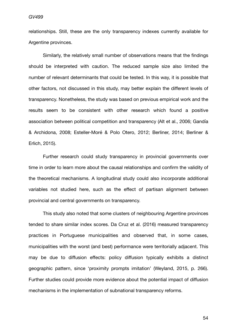relationships. Still, these are the only transparency indexes currently available for Argentine provinces.

Similarly, the relatively small number of observations means that the findings should be interpreted with caution. The reduced sample size also limited the number of relevant determinants that could be tested. In this way, it is possible that other factors, not discussed in this study, may better explain the different levels of transparency. Nonetheless, the study was based on previous empirical work and the results seem to be consistent with other research which found a positive association between political competition and transparency (Alt et al., 2006; Gandía & Archidona, 2008; Esteller-Moré & Polo Otero, 2012; Berliner, 2014; Berliner & Erlich, 2015).

Further research could study transparency in provincial governments over time in order to learn more about the causal relationships and confirm the validity of the theoretical mechanisms. A longitudinal study could also incorporate additional variables not studied here, such as the effect of partisan alignment between provincial and central governments on transparency.

This study also noted that some clusters of neighbouring Argentine provinces tended to share similar index scores. Da Cruz et al. (2016) measured transparency practices in Portuguese municipalities and observed that, in some cases, municipalities with the worst (and best) performance were territorially adjacent. This may be due to diffusion effects: policy diffusion typically exhibits a distinct geographic pattern, since 'proximity prompts imitation' (Weyland, 2015, p. 266). Further studies could provide more evidence about the potential impact of diffusion mechanisms in the implementation of subnational transparency reforms.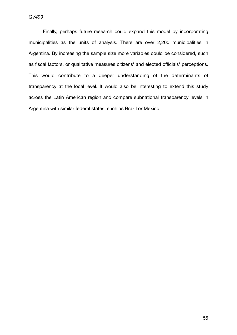*GV499*

Finally, perhaps future research could expand this model by incorporating municipalities as the units of analysis. There are over 2,200 municipalities in Argentina. By increasing the sample size more variables could be considered, such as fiscal factors, or qualitative measures citizens' and elected officials' perceptions. This would contribute to a deeper understanding of the determinants of transparency at the local level. It would also be interesting to extend this study across the Latin American region and compare subnational transparency levels in Argentina with similar federal states, such as Brazil or Mexico.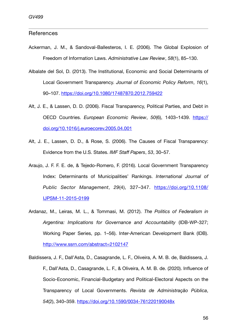# References *Candidate number: 37721*

- Ackerman, J. M., & Sandoval-Ballesteros, I. E. (2006). The Global Explosion of Freedom of Information Laws. *Administrative Law Review*, *58*(1), 85–130.
- Albalate del Sol, D. (2013). The Institutional, Economic and Social Determinants of Local Government Transparency. *Journal of Economic Policy Reform*, *16*(1), 90–107.<https://doi.org/10.1080/17487870.2012.759422>
- Alt, J. E., & Lassen, D. D. (2006). Fiscal Transparency, Political Parties, and Debt in OECD Countries. *European Economic Review*, *50*(6), 1403–1439. [https://](https://doi.org/10.1016/j.euroecorev.2005.04.001) [doi.org/10.1016/j.euroecorev.2005.04.001](https://doi.org/10.1016/j.euroecorev.2005.04.001)
- Alt, J. E., Lassen, D. D., & Rose, S. (2006). The Causes of Fiscal Transparency: Evidence from the U.S. States. *IMF Staff Papers*, *53*, 30–57.
- Araujo, J. F. F. E. de, & Tejedo-Romero, F. (2016). Local Government Transparency Index: Determinants of Municipalities' Rankings. *International Journal of Public Sector Management*, *29*(4), 327–347. [https://doi.org/10.1108/](https://doi.org/10.1108/IJPSM-11-2015-0199) [IJPSM-11-2015-0199](https://doi.org/10.1108/IJPSM-11-2015-0199)
- Ardanaz, M., Leiras, M. L., & Tommasi, M. (2012). *The Politics of Federalism in Argentina: Implications for Governance and Accountability* (IDB-WP-327; Working Paper Series, pp. 1–56). Inter-American Development Bank (IDB). <http://www.ssrn.com/abstract=2102147>
- Baldissera, J. F., Dall'Asta, D., Casagrande, L. F., Oliveira, A. M. B. de, Baldissera, J. F., Dall'Asta, D., Casagrande, L. F., & Oliveira, A. M. B. de. (2020). Influence of Socio-Economic, Financial-Budgetary and Political-Electoral Aspects on the Transparency of Local Governments. *Revista de Administração Pública*, *54*(2), 340–359. <https://doi.org/10.1590/0034-761220190048x>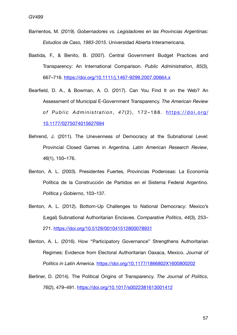- Barrientos, M. (2019). *Gobernadores vs. Legisladores en las Provincias Argentinas: Estudios de Caso, 1983-2015*. Universidad Abierta Interamericana.
- Bastida, F., & Benito, B. (2007). Central Government Budget Practices and Transparency: An International Comparison. *Public Administration*, *85*(3), 667–716. <https://doi.org/10.1111/j.1467-9299.2007.00664.x>
- Bearfield, D. A., & Bowman, A. O. (2017). Can You Find It on the Web? An Assessment of Municipal E-Government Transparency. *The American Review of Public Administration, 47(2), 172-188. [https://doi.org/](https://doi.org/10.1177/0275074015627694)* [10.1177/0275074015627694](https://doi.org/10.1177/0275074015627694)
- Behrend, J. (2011). The Unevenness of Democracy at the Subnational Level: Provincial Closed Games in Argentina. *Latin American Research Review*, *46*(1), 150–176.
- Benton, A. L. (2003). Presidentes Fuertes, Provincias Poderosas: La Economía Política de la Construcción de Partidos en el Sistema Federal Argentino. *Política y Gobierno*, 103–137.
- Benton, A. L. (2012). Bottom-Up Challenges to National Democracy: Mexico's (Legal) Subnational Authoritarian Enclaves. *Comparative Politics*, *44*(3), 253– 271. <https://doi.org/10.5129/001041512800078931>
- Benton, A. L. (2016). How "Participatory Governance" Strengthens Authoritarian Regimes: Evidence from Electoral Authoritarian Oaxaca, Mexico. *Journal of Politics in Latin America*. <https://doi.org/10.1177/1866802X1600800202>
- Berliner, D. (2014). The Political Origins of Transparency. *The Journal of Politics*, *76*(2), 479–491. <https://doi.org/10.1017/s0022381613001412>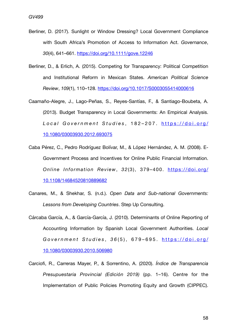- Berliner, D. (2017). Sunlight or Window Dressing? Local Government Compliance with South Africa's Promotion of Access to Information Act. *Governance*, *30*(4), 641–661. <https://doi.org/10.1111/gove.12246>
- Berliner, D., & Erlich, A. (2015). Competing for Transparency: Political Competition and Institutional Reform in Mexican States. *American Political Science Review*, *109*(1), 110–128. <https://doi.org/10.1017/S0003055414000616>
- Caamaño-Alegre, J., Lago-Peñas, S., Reyes-Santías, F., & Santiago-Boubeta, A. (2013). Budget Transparency in Local Governments: An Empirical Analysis. *L o c a l G o v e r n m e n t S t u d i e s* , 1 8 2 – 2 0 7 . [https://doi.org/](https://doi.org/10.1080/03003930.2012.693075) [10.1080/03003930.2012.693075](https://doi.org/10.1080/03003930.2012.693075)
- Caba Pérez, C., Pedro Rodríguez Bolívar, M., & López Hernández, A. M. (2008). E‐ Government Process and Incentives for Online Public Financial Information. *Online Information Review*, *32*(3), 379–400. [https://doi.org/](https://doi.org/10.1108/14684520810889682) [10.1108/14684520810889682](https://doi.org/10.1108/14684520810889682)
- Canares, M., & Shekhar, S. (n.d.). *Open Data and Sub-national Governments: Lessons from Developing Countries*. Step Up Consulting.
- Cárcaba García, A., & García-García, J. (2010). Determinants of Online Reporting of Accounting Information by Spanish Local Government Authorities. *Local G o v e r n m e n t S t u d i e s* , *3 6* ( 5 ) , 6 7 9 – 6 9 5 . [https://doi.org/](https://doi.org/10.1080/03003930.2010.506980) [10.1080/03003930.2010.506980](https://doi.org/10.1080/03003930.2010.506980)
- Carciofi, R., Carreras Mayer, P., & Sorrentino, A. (2020). *Índice de Transparencia Presupuestaria Provincial (Edición 2019)* (pp. 1–16). Centre for the Implementation of Public Policies Promoting Equity and Growth (CIPPEC).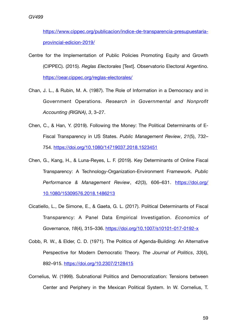[https://www.cippec.org/publicacion/indice-de-transparencia-presupuestaria](https://www.cippec.org/publicacion/indice-de-transparencia-presupuestaria-provincial-edicion-2019/) [provincial-edicion-2019/](https://www.cippec.org/publicacion/indice-de-transparencia-presupuestaria-provincial-edicion-2019/)

- Centre for the Implementation of Public Policies Promoting Equity and Growth (CIPPEC). (2015). *Reglas Electorales* [Text]. Observatorio Electoral Argentino. <https://oear.cippec.org/reglas-electorales/>
- Chan, J. L., & Rubin, M. A. (1987). The Role of Information in a Democracy and in Government Operations. *Research in Governmental and Nonprofit Accounting (RIGNA)*, *3*, 3–27.
- Chen, C., & Han, Y. (2019). Following the Money: The Political Determinants of E-Fiscal Transparency in US States. *Public Management Review*, *21*(5), 732– 754. <https://doi.org/10.1080/14719037.2018.1523451>
- Chen, G., Kang, H., & Luna-Reyes, L. F. (2019). Key Determinants of Online Fiscal Transparency: A Technology-Organization-Environment Framework. *Public Performance & Management Review*, *42*(3), 606–631. [https://doi.org/](https://doi.org/10.1080/15309576.2018.1486213) [10.1080/15309576.2018.1486213](https://doi.org/10.1080/15309576.2018.1486213)
- Cicatiello, L., De Simone, E., & Gaeta, G. L. (2017). Political Determinants of Fiscal Transparency: A Panel Data Empirical Investigation. *Economics of Governance*, *18*(4), 315–336.<https://doi.org/10.1007/s10101-017-0192-x>
- Cobb, R. W., & Elder, C. D. (1971). The Politics of Agenda-Building: An Alternative Perspective for Modern Democratic Theory. *The Journal of Politics*, *33*(4), 892–915. <https://doi.org/10.2307/2128415>
- Cornelius, W. (1999). Subnational Politics and Democratization: Tensions between Center and Periphery in the Mexican Political System. In W. Cornelius, T.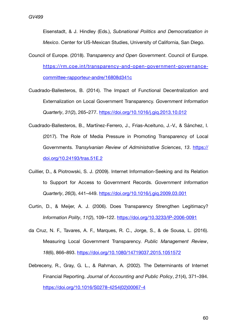Eisenstadt, & J. Hindley (Eds.), *Subnational Politics and Democratization in Mexico*. Center for US-Mexican Studies, University of California, San Diego.

- Council of Europe. (2018). *Transparency and Open Government*. Council of Europe. [https://rm.coe.int/transparency-and-open-government-governance](https://rm.coe.int/transparency-and-open-government-governance-committee-rapporteur-andre/16808d341c)[committee-rapporteur-andre/16808d341c](https://rm.coe.int/transparency-and-open-government-governance-committee-rapporteur-andre/16808d341c)
- Cuadrado-Ballesteros, B. (2014). The Impact of Functional Decentralization and Externalization on Local Government Transparency. *Government Information Quarterly*, *31*(2), 265–277. <https://doi.org/10.1016/j.giq.2013.10.012>
- Cuadrado-Ballesteros, B., Martínez-Ferrero, J., Frias-Aceituno, J.-V., & Sánchez, I. (2017). The Role of Media Pressure in Promoting Transparency of Local Governments. *Transylvanian Review of Administrative Sciences*, *13*. [https://](https://doi.org/10.24193/tras.51E.2) [doi.org/10.24193/tras.51E.2](https://doi.org/10.24193/tras.51E.2)
- Cuillier, D., & Piotrowski, S. J. (2009). Internet Information-Seeking and its Relation to Support for Access to Government Records. *Government Information Quarterly*, *26*(3), 441–449. <https://doi.org/10.1016/j.giq.2009.03.001>
- Curtin, D., & Meijer, A. J. (2006). Does Transparency Strengthen Legitimacy? *Information Polity*, *11*(2), 109–122. <https://doi.org/10.3233/IP-2006-0091>
- da Cruz, N. F., Tavares, A. F., Marques, R. C., Jorge, S., & de Sousa, L. (2016). Measuring Local Government Transparency. *Public Management Review*, *18*(6), 866–893. <https://doi.org/10.1080/14719037.2015.1051572>
- Debreceny, R., Gray, G. L., & Rahman, A. (2002). The Determinants of Internet Financial Reporting. *Journal of Accounting and Public Policy*, *21*(4), 371–394. [https://doi.org/10.1016/S0278-4254\(02\)00067-4](https://doi.org/10.1016/S0278-4254(02)00067-4)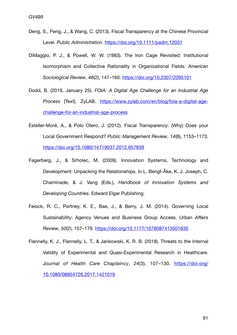- Deng, S., Peng, J., & Wang, C. (2013). Fiscal Transparency at the Chinese Provincial Level. *Public Administration*.<https://doi.org/10.1111/padm.12031>
- DiMaggio, P. J., & Powell, W. W. (1983). The Iron Cage Revisited: Institutional Isomorphism and Collective Rationality in Organizational Fields. *American Sociological Review*, *48*(2), 147–160.<https://doi.org/10.2307/2095101>
- Dodd, B. (2019, January 25). *FOIA: A Digital Age Challenge for an Industrial Age Process* [Text]. ZyLAB. [https://www.zylab.com/en/blog/foia-a-digital-age](https://www.zylab.com/en/blog/foia-a-digital-age-challenge-for-an-industrial-age-process)[challenge-for-an-industrial-age-process](https://www.zylab.com/en/blog/foia-a-digital-age-challenge-for-an-industrial-age-process)
- Esteller-Moré, A., & Polo Otero, J. (2012). Fiscal Transparency: (Why) Does your Local Government Respond? *Public Management Review*, *14*(8), 1153–1173. <https://doi.org/10.1080/14719037.2012.657839>
- Fagerberg, J., & Srholec, M. (2009). Innovation Systems, Technology and Development: Unpacking the Relationships. In L. Bengt-Åke, K. J. Joseph, C. Chaminade, & J. Vang (Eds.), *Handbook of Innovation Systems and Developing Countries*. Edward Elgar Publishing.
- Feiock, R. C., Portney, K. E., Bae, J., & Berry, J. M. (2014). Governing Local Sustainability: Agency Venues and Business Group Access. *Urban Affairs Review*, *50*(2), 157–179. <https://doi.org/10.1177/1078087413501635>
- Flannelly, K. J., Flannelly, L. T., & Jankowski, K. R. B. (2018). Threats to the Internal Validity of Experimental and Quasi-Experimental Research in Healthcare. *Journal of Health Care Chaplaincy*, *24*(3), 107–130. [https://doi.org/](https://doi.org/10.1080/08854726.2017.1421019) [10.1080/08854726.2017.1421019](https://doi.org/10.1080/08854726.2017.1421019)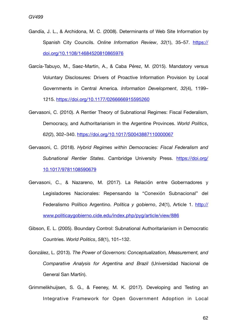- Gandía, J. L., & Archidona, M. C. (2008). Determinants of Web Site Information by Spanish City Councils. *Online Information Review*, *32*(1), 35–57. [https://](https://doi.org/10.1108/14684520810865976) [doi.org/10.1108/14684520810865976](https://doi.org/10.1108/14684520810865976)
- García-Tabuyo, M., Saez-Martin, A., & Caba Pérez, M. (2015). Mandatory versus Voluntary Disclosures: Drivers of Proactive Information Provision by Local Governments in Central America. *Information Development*, *32*(4), 1199– 1215.<https://doi.org/10.1177/0266666915595260>
- Gervasoni, C. (2010). A Rentier Theory of Subnational Regimes: Fiscal Federalism, Democracy, and Authoritarianism in the Argentine Provinces. *World Politics*, *62*(2), 302–340. <https://doi.org/10.1017/S0043887110000067>
- Gervasoni, C. (2018). *Hybrid Regimes within Democracies: Fiscal Federalism and Subnational Rentier States*. Cambridge University Press. [https://doi.org/](https://doi.org/10.1017/9781108590679) [10.1017/9781108590679](https://doi.org/10.1017/9781108590679)
- Gervasoni, C., & Nazareno, M. (2017). La Relación entre Gobernadores y Legisladores Nacionales: Repensando la "Conexión Subnacional" del Federalismo Político Argentino. *Política y gobierno*, *24*(1), Article 1. [http://](http://www.politicaygobierno.cide.edu/index.php/pyg/article/view/886) [www.politicaygobierno.cide.edu/index.php/pyg/article/view/886](http://www.politicaygobierno.cide.edu/index.php/pyg/article/view/886)
- Gibson, E. L. (2005). Boundary Control: Subnational Authoritarianism in Democratic Countries. *World Politics*, *58*(1), 101–132.
- González, L. (2013). *The Power of Governors: Conceptualization, Measurement, and Comparative Analysis for Argentina and Brazil* (Universidad Nacional de General San Martín).
- Grimmelikhuijsen, S. G., & Feeney, M. K. (2017). Developing and Testing an Integrative Framework for Open Government Adoption in Local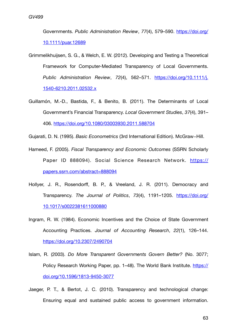Governments. *Public Administration Review*, *77*(4), 579–590. [https://doi.org/](https://doi.org/10.1111/puar.12689) [10.1111/puar.12689](https://doi.org/10.1111/puar.12689)

- Grimmelikhuijsen, S. G., & Welch, E. W. (2012). Developing and Testing a Theoretical Framework for Computer-Mediated Transparency of Local Governments. *Public Administration Review*, *72*(4), 562–571. [https://doi.org/10.1111/j.](https://doi.org/10.1111/j.1540-6210.2011.02532.x) [1540-6210.2011.02532.x](https://doi.org/10.1111/j.1540-6210.2011.02532.x)
- Guillamón, M.-D., Bastida, F., & Benito, B. (2011). The Determinants of Local Government's Financial Transparency. *Local Government Studies*, *37*(4), 391– 406. <https://doi.org/10.1080/03003930.2011.588704>

Gujarati, D. N. (1995). *Basic Econometrics* (3rd International Edition). McGraw−Hill.

- Hameed, F. (2005). *Fiscal Transparency and Economic Outcomes* (SSRN Scholarly Paper ID 888094). Social Science Research Network. [https://](https://papers.ssrn.com/abstract=888094) [papers.ssrn.com/abstract=888094](https://papers.ssrn.com/abstract=888094)
- Hollyer, J. R., Rosendorff, B. P., & Vreeland, J. R. (2011). Democracy and Transparency. *The Journal of Politics*, *73*(4), 1191–1205. [https://doi.org/](https://doi.org/10.1017/s0022381611000880) [10.1017/s0022381611000880](https://doi.org/10.1017/s0022381611000880)
- Ingram, R. W. (1984). Economic Incentives and the Choice of State Government Accounting Practices. *Journal of Accounting Research*, *22*(1), 126–144. <https://doi.org/10.2307/2490704>
- Islam, R. (2003). *Do More Transparent Governments Govern Better?* (No. 3077; Policy Research Working Paper, pp. 1–48). The World Bank Institute. [https://](https://doi.org/10.1596/1813-9450-3077) [doi.org/10.1596/1813-9450-3077](https://doi.org/10.1596/1813-9450-3077)
- Jaeger, P. T., & Bertot, J. C. (2010). Transparency and technological change: Ensuring equal and sustained public access to government information.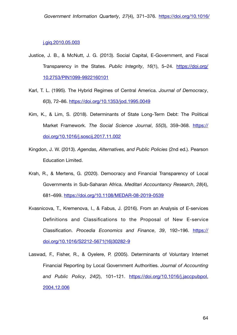#### [j.giq.2010.05.003](https://doi.org/10.1016/j.giq.2010.05.003)

- Justice, J. B., & McNutt, J. G. (2013). Social Capital, E-Government, and Fiscal Transparency in the States. *Public Integrity*, *16*(1), 5–24. [https://doi.org/](https://doi.org/10.2753/PIN1099-9922160101) [10.2753/PIN1099-9922160101](https://doi.org/10.2753/PIN1099-9922160101)
- Karl, T. L. (1995). The Hybrid Regimes of Central America. *Journal of Democracy*, *6*(3), 72–86. <https://doi.org/10.1353/jod.1995.0049>
- Kim, K., & Lim, S. (2018). Determinants of State Long-Term Debt: The Political Market Framework. *The Social Science Journal*, *55*(3), 359–368. [https://](https://doi.org/10.1016/j.soscij.2017.11.002) [doi.org/10.1016/j.soscij.2017.11.002](https://doi.org/10.1016/j.soscij.2017.11.002)
- Kingdon, J. W. (2013). *Agendas, Alternatives, and Public Policies* (2nd ed.). Pearson Education Limited.
- Krah, R., & Mertens, G. (2020). Democracy and Financial Transparency of Local Governments in Sub-Saharan Africa. *Meditari Accountancy Research*, *28*(4), 681–699. <https://doi.org/10.1108/MEDAR-08-2019-0539>
- Kvasnicova, T., Kremenova, I., & Fabus, J. (2016). From an Analysis of E-services Definitions and Classifications to the Proposal of New E-service Classification. *Procedia Economics and Finance*, *39*, 192–196. [https://](https://doi.org/10.1016/S2212-5671(16)30282-9) [doi.org/10.1016/S2212-5671\(16\)30282-9](https://doi.org/10.1016/S2212-5671(16)30282-9)
- Laswad, F., Fisher, R., & Oyelere, P. (2005). Determinants of Voluntary Internet Financial Reporting by Local Government Authorities. *Journal of Accounting and Public Policy*, *24*(2), 101–121. [https://doi.org/10.1016/j.jaccpubpol.](https://doi.org/10.1016/j.jaccpubpol.2004.12.006) [2004.12.006](https://doi.org/10.1016/j.jaccpubpol.2004.12.006)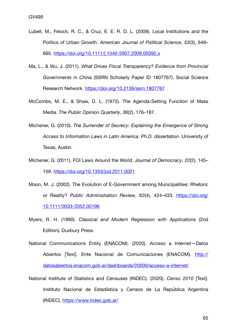- Lubell, M., Feiock, R. C., & Cruz, E. E. R. D. L. (2009). Local Institutions and the Politics of Urban Growth. *American Journal of Political Science*, *53*(3), 649– 665. <https://doi.org/10.1111/j.1540-5907.2009.00392.x>
- Ma, L., & Wu, J. (2011). *What Drives Fiscal Transparency? Evidence from Provincial Governments in China* (SSRN Scholarly Paper ID 1807767). Social Science Research Network. <https://doi.org/10.2139/ssrn.1807767>
- McCombs, M. E., & Shaw, D. L. (1972). The Agenda-Setting Function of Mass Media. *The Public Opinion Quarterly*, *36*(2), 176–187.
- Michener, G. (2010). *The Surrender of Secrecy: Explaining the Emergence of Strong Access to Information Laws in Latin America. Ph.D. dissertation*. University of Texas, Austin.
- Michener, G. (2011). FOI Laws Around the World. *Journal of Democracy*, *22*(2), 145– 159. <https://doi.org/10.1353/jod.2011.0021>
- Moon, M. J. (2002). The Evolution of E-Government among Municipalities: Rhetoric or Reality? *Public Administration Review*, *62*(4), 424–433. [https://doi.org/](https://doi.org/10.1111/0033-3352.00196) [10.1111/0033-3352.00196](https://doi.org/10.1111/0033-3352.00196)
- Myers, R. H. (1990). *Classical and Modern Regression with Applications* (2nd Edition). Duxbury Press.
- National Communications Entity (ENACOM). (2020). *Acceso a Internet—Datos Abiertos* [Text]. Ente Nacional de Comunicaciones (ENACOM). [http://](http://datosabiertos.enacom.gob.ar/dashboards/20000/acceso-a-internet/) [datosabiertos.enacom.gob.ar/dashboards/20000/acceso-a-internet/](http://datosabiertos.enacom.gob.ar/dashboards/20000/acceso-a-internet/)
- National Institute of Statistics and Censuses (INDEC). (2020). *Censo 2010* [Text]. Instituto Nacional de Estadística y Censos de La República Argentina (INDEC).<https://www.indec.gob.ar/>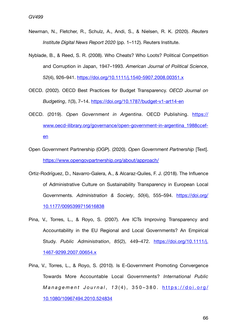- Newman, N., Fletcher, R., Schulz, A., Andi, S., & Nielsen, R. K. (2020). *Reuters Institute Digital News Report 2020* (pp. 1–112). Reuters Institute.
- Nyblade, B., & Reed, S. R. (2008). Who Cheats? Who Loots? Political Competition and Corruption in Japan, 1947–1993. *American Journal of Political Science*, *52*(4), 926–941. <https://doi.org/10.1111/j.1540-5907.2008.00351.x>
- OECD. (2002). OECD Best Practices for Budget Transparency. *OECD Journal on Budgeting*, *1*(3), 7–14. <https://doi.org/10.1787/budget-v1-art14-en>
- OECD. (2019). *Open Government in Argentina*. OECD Publishing. [https://](https://www.oecd-ilibrary.org/governance/open-government-in-argentina_1988ccef-en) [www.oecd-ilibrary.org/governance/open-government-in-argentina\\_1988ccef](https://www.oecd-ilibrary.org/governance/open-government-in-argentina_1988ccef-en)[en](https://www.oecd-ilibrary.org/governance/open-government-in-argentina_1988ccef-en)
- Open Government Partnership (OGP). (2020). *Open Government Partnership* [Text]. <https://www.opengovpartnership.org/about/approach/>
- Ortiz-Rodríguez, D., Navarro-Galera, A., & Alcaraz-Quiles, F. J. (2018). The Influence of Administrative Culture on Sustainability Transparency in European Local Governments. *Administration & Society*, *50*(4), 555–594. [https://doi.org/](https://doi.org/10.1177/0095399715616838) [10.1177/0095399715616838](https://doi.org/10.1177/0095399715616838)
- Pina, V., Torres, L., & Royo, S. (2007). Are ICTs Improving Transparency and Accountability in the EU Regional and Local Governments? An Empirical Study. *Public Administration*, *85*(2), 449–472. [https://doi.org/10.1111/j.](https://doi.org/10.1111/j.1467-9299.2007.00654.x) [1467-9299.2007.00654.x](https://doi.org/10.1111/j.1467-9299.2007.00654.x)
- Pina, V., Torres, L., & Royo, S. (2010). Is E-Government Promoting Convergence Towards More Accountable Local Governments? *International Public M a n a g e m e n t J o u r n a l* , *1 3* ( 4 ) , 3 5 0 – 3 8 0 . [https://doi.org/](https://doi.org/10.1080/10967494.2010.524834) [10.1080/10967494.2010.524834](https://doi.org/10.1080/10967494.2010.524834)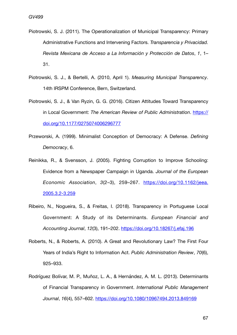- *Candidate number: 37721* Piotrowski, S. J. (2011). The Operationalization of Municipal Transparency: Primary Administrative Functions and Intervening Factors. *Transparencia y Privacidad. Revista Mexicana de Acceso a La Información y Protección de Datos*, *1*, 1– 31.
- Piotrowski, S. J., & Bertelli, A. (2010, April 1). *Measuring Municipal Transparency*. 14th IRSPM Conference, Bern, Switzerland.
- Piotrowski, S. J., & Van Ryzin, G. G. (2016). Citizen Attitudes Toward Transparency in Local Government: *The American Review of Public Administration*. [https://](https://doi.org/10.1177/0275074006296777) [doi.org/10.1177/0275074006296777](https://doi.org/10.1177/0275074006296777)
- Przeworski, A. (1999). Minimalist Conception of Democracy: A Defense. *Defining Democracy*, 6.
- Reinikka, R., & Svensson, J. (2005). Fighting Corruption to Improve Schooling: Evidence from a Newspaper Campaign in Uganda. *Journal of the European Economic Association*, *3*(2–3), 259–267. [https://doi.org/10.1162/jeea.](https://doi.org/10.1162/jeea.2005.3.2-3.259) [2005.3.2-3.259](https://doi.org/10.1162/jeea.2005.3.2-3.259)
- Ribeiro, N., Nogueira, S., & Freitas, I. (2018). Transparency in Portuguese Local Government: A Study of its Determinants. *European Financial and Accounting Journal*, *12*(3), 191–202.<https://doi.org/10.18267/j.efaj.196>
- Roberts, N., & Roberts, A. (2010). A Great and Revolutionary Law? The First Four Years of India's Right to Information Act. *Public Administration Review*, *70*(6), 925–933.
- Rodríguez Bolívar, M. P., Muñoz, L. A., & Hernández, A. M. L. (2013). Determinants of Financial Transparency in Government. *International Public Management Journal*, *16*(4), 557–602. <https://doi.org/10.1080/10967494.2013.849169>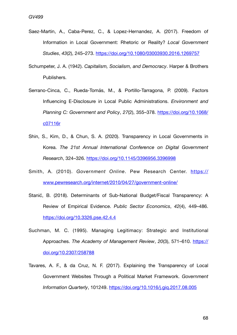- Saez-Martin, A., Caba-Perez, C., & Lopez-Hernandez, A. (2017). Freedom of Information in Local Government: Rhetoric or Reality? *Local Government Studies*, *43*(2), 245–273.<https://doi.org/10.1080/03003930.2016.1269757>
- Schumpeter, J. A. (1942). *Capitalism, Socialism, and Democracy*. Harper & Brothers Publishers.
- Serrano-Cinca, C., Rueda-Tomás, M., & Portillo-Tarragona, P. (2009). Factors Influencing E-Disclosure in Local Public Administrations. *Environment and Planning C: Government and Policy*, *27*(2), 355–378. [https://doi.org/10.1068/](https://doi.org/10.1068/c07116r) [c07116r](https://doi.org/10.1068/c07116r)
- Shin, S., Kim, D., & Chun, S. A. (2020). Transparency in Local Governments in Korea. *The 21st Annual International Conference on Digital Government Research*, 324–326.<https://doi.org/10.1145/3396956.3396998>
- Smith, A. (2010). *Government Online*. Pew Research Center. [https://](https://www.pewresearch.org/internet/2010/04/27/government-online/) [www.pewresearch.org/internet/2010/04/27/government-online/](https://www.pewresearch.org/internet/2010/04/27/government-online/)
- Stanić, B. (2018). Determinants of Sub-National Budget/Fiscal Transparency: A Review of Empirical Evidence. *Public Sector Economics*, *42*(4), 449–486. <https://doi.org/10.3326.pse.42.4.4>
- Suchman, M. C. (1995). Managing Legitimacy: Strategic and Institutional Approaches. *The Academy of Management Review*, *20*(3), 571–610. [https://](https://doi.org/10.2307/258788) [doi.org/10.2307/258788](https://doi.org/10.2307/258788)
- Tavares, A. F., & da Cruz, N. F. (2017). Explaining the Transparency of Local Government Websites Through a Political Market Framework. *Government Information Quarterly*, 101249.<https://doi.org/10.1016/j.giq.2017.08.005>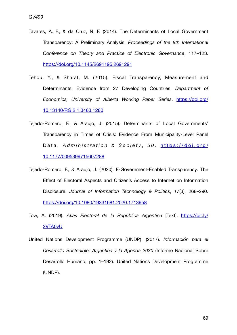- Tavares, A. F., & da Cruz, N. F. (2014). The Determinants of Local Government Transparency: A Preliminary Analysis. *Proceedings of the 8th International Conference on Theory and Practice of Electronic Governance*, 117–123. <https://doi.org/10.1145/2691195.2691291>
- Tehou, Y., & Sharaf, M. (2015). Fiscal Transparency, Measurement and Determinants: Evidence from 27 Developing Countries. *Department of Economics, University of Alberta Working Paper Series*. [https://doi.org/](https://doi.org/10.13140/RG.2.1.3463.1280) [10.13140/RG.2.1.3463.1280](https://doi.org/10.13140/RG.2.1.3463.1280)
- Tejedo-Romero, F., & Araujo, J. (2015). Determinants of Local Governments' Transparency in Times of Crisis: Evidence From Municipality-Level Panel Data. Administration & Society, 50. [https://doi.org/](https://doi.org/10.1177/0095399715607288) [10.1177/0095399715607288](https://doi.org/10.1177/0095399715607288)
- Tejedo-Romero, F., & Araujo, J. (2020). E-Government-Enabled Transparency: The Effect of Electoral Aspects and Citizen's Access to Internet on Information Disclosure. *Journal of Information Technology & Politics*, *17*(3), 268–290. <https://doi.org/10.1080/19331681.2020.1713958>
- Tow, A. (2019). *Atlas Electoral de la República Argentina* [Text]. [https://bit.ly/](https://bit.ly/2VTA0vU) [2VTA0vU](https://bit.ly/2VTA0vU)
- United Nations Development Programme (UNDP). (2017). *Información para el Desarrollo Sostenible: Argentina y la Agenda 2030* (Informe Nacional Sobre Desarrollo Humano, pp. 1–192). United Nations Development Programme (UNDP).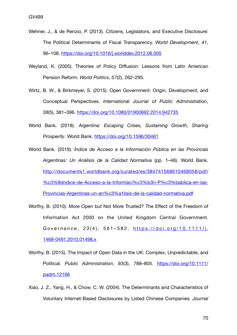- Wehner, J., & de Renzio, P. (2013). Citizens, Legislators, and Executive Disclosure: The Political Determinants of Fiscal Transparency. *World Development*, *41*, 96–108.<https://doi.org/10.1016/j.worlddev.2012.06.005>
- Weyland, K. (2005). Theories of Policy Diffusion: Lessons from Latin American Pension Reform. *World Politics*, *57*(2), 262–295.
- Wirtz, B. W., & Birkmeyer, S. (2015). Open Government: Origin, Development, and Conceptual Perspectives. *International Journal of Public Administration*, *38*(5), 381–396. <https://doi.org/10.1080/01900692.2014.942735>
- World Bank. (2018). *Argentina: Escaping Crises, Sustaining Growth, Sharing Prosperity*. World Bank.<https://doi.org/10.1596/30461>
- World Bank. (2019). *Índice de Acceso a la Información Pública en las Provincias Argentinas: Un Análisis de la Calidad Normativa* (pp. 1–46). World Bank. [http://documents1.worldbank.org/curated/es/384741568610468058/pdf/](http://documents1.worldbank.org/curated/es/384741568610468058/pdf/%c3%8dndice-de-Acceso-a-la-Informaci%c3%b3n-P%c3%bablica-en-las-Provincias-Argentinas-un-an%c3%a1lisis-de-la-calidad-normativa.pdf) %c3%8dndice-de-Acceso-a-la-Informaci%c3%b3n-P%c3%bablica-en-las-[Provincias-Argentinas-un-an%c3%a1lisis-de-la-calidad-normativa.pdf](http://documents1.worldbank.org/curated/es/384741568610468058/pdf/%c3%8dndice-de-Acceso-a-la-Informaci%c3%b3n-P%c3%bablica-en-las-Provincias-Argentinas-un-an%c3%a1lisis-de-la-calidad-normativa.pdf)
- Worthy, B. (2010). More Open but Not More Trusted? The Effect of the Freedom of Information Act 2000 on the United Kingdom Central Government. *Governance* , *2 3* ( 4 ) , 5 6 1 – 5 8 2 . [https://doi.org/10.1111/j.](https://doi.org/10.1111/j.1468-0491.2010.01498.x) [1468-0491.2010.01498.x](https://doi.org/10.1111/j.1468-0491.2010.01498.x)
- Worthy, B. (2015). The Impact of Open Data in the UK: Complex, Unpredictable, and Political. *Public Administration*, *93*(3), 788–805. [https://doi.org/10.1111/](https://doi.org/10.1111/padm.12166) [padm.12166](https://doi.org/10.1111/padm.12166)
- Xiao, J. Z., Yang, H., & Chow, C. W. (2004). The Determinants and Characteristics of Voluntary Internet-Based Disclosures by Listed Chinese Companies. *Journal*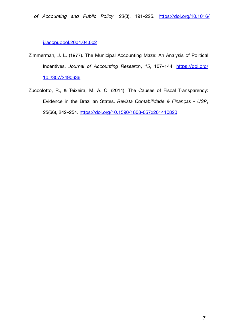## [j.jaccpubpol.2004.04.002](https://doi.org/10.1016/j.jaccpubpol.2004.04.002)

- Zimmerman, J. L. (1977). The Municipal Accounting Maze: An Analysis of Political Incentives. *Journal of Accounting Research*, *15*, 107–144. [https://doi.org/](https://doi.org/10.2307/2490636) [10.2307/2490636](https://doi.org/10.2307/2490636)
- Zuccolotto, R., & Teixeira, M. A. C. (2014). The Causes of Fiscal Transparency: Evidence in the Brazilian States. *Revista Contabilidade & Finanças - USP*, *25*(66), 242–254.<https://doi.org/10.1590/1808-057x201410820>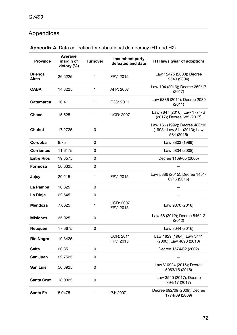# Appendices

| <b>Province</b>               | <b>Average</b><br>margin of<br>victory (%) | <b>Turnover</b> | Incumbent party<br>defeated and date                       | RTI laws (year of adoption)                                                |  |  |  |
|-------------------------------|--------------------------------------------|-----------------|------------------------------------------------------------|----------------------------------------------------------------------------|--|--|--|
| <b>Buenos</b><br><b>Aires</b> | 26.5225                                    | $\mathbf{1}$    | FPV: 2015                                                  | Law 12475 (2000); Decree<br>2549 (2004)                                    |  |  |  |
| <b>CABA</b>                   | 14.3225                                    | $\mathbf{1}$    | AFP: 2007                                                  | Law 104 (2016); Decree 260/17<br>(2017)                                    |  |  |  |
| <b>Catamarca</b>              | 10.41                                      | 1               | FCS: 2011                                                  | Law 5336 (2011); Decree 2089<br>(2011)                                     |  |  |  |
| Chaco                         | 15.525                                     | $\mathbf{1}$    | <b>UCR: 2007</b>                                           | Law 7847 (2016); Law 1774-B<br>(2017); Decree 685 (2017)                   |  |  |  |
| <b>Chubut</b>                 | 17.2725                                    | 0               |                                                            | Law 156 (1992); Decree 486/93<br>(1993); Law 511 (2013); Law<br>584 (2016) |  |  |  |
| Córdoba                       | 8.75                                       | 0               |                                                            | Law 8803 (1999)                                                            |  |  |  |
| <b>Corrientes</b>             | 11.6175                                    | 0               |                                                            | Law 5834 (2008)                                                            |  |  |  |
| <b>Entre Ríos</b>             | 19.3575                                    | 0               |                                                            | Decree 1169/05 (2005)                                                      |  |  |  |
| <b>Formosa</b>                | 50.6325                                    | 0               |                                                            |                                                                            |  |  |  |
| Jujuy                         | 20.215                                     | 1               | FPV: 2015                                                  | Law 5886 (2015); Decree 1451-<br>G/16 (2016)                               |  |  |  |
| La Pampa                      | 16.825                                     | 0               |                                                            |                                                                            |  |  |  |
| La Rioja                      | 22.545                                     | 0               |                                                            |                                                                            |  |  |  |
| Mendoza                       | 7.6625                                     | 1               | <b>UCR: 2007</b><br>FPV: 2015                              | Law 9070 (2018)                                                            |  |  |  |
| <b>Misiones</b>               | 35.925                                     | 0               |                                                            | Law 58 (2012); Decree 846/12<br>(2012)                                     |  |  |  |
| <b>Neuquén</b>                | 17.6675                                    | 0               |                                                            | Law 3044 (2016)                                                            |  |  |  |
| <b>Río Negro</b>              | 10.3425                                    | 1               | <b>UCR: 2011</b><br>FPV: 2015                              | Law 1829 (1984); Law 3441<br>(2000); Law 4698 (2010)                       |  |  |  |
| <b>Salta</b>                  | 20.35                                      | 0               |                                                            | Decree 1574/02 (2002)                                                      |  |  |  |
| San Juan                      | 22.7525                                    | 0               |                                                            |                                                                            |  |  |  |
| <b>San Luis</b>               | 56.8925                                    | 0               |                                                            | Law V-0924 (2015); Decree<br>5063/16 (2016)                                |  |  |  |
| <b>Santa Cruz</b>             | 18.0325                                    | 0               |                                                            | Law 3540 (2017); Decree<br>894/17 (2017)                                   |  |  |  |
| Santa Fe                      | 5.0475                                     | 1               | Decree 692/09 (2009); Decree<br>PJ: 2007<br>1774/09 (2009) |                                                                            |  |  |  |

# **Appendix A.** Data collection for subnational democracy (H1 and H2)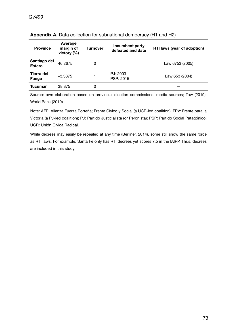| <b>Province</b>               | Average<br>margin of<br>victory $(%)$ | Turnover | Incumbent party<br>defeated and date | <b>RTI laws (year of adoption)</b> |
|-------------------------------|---------------------------------------|----------|--------------------------------------|------------------------------------|
| Santiago del<br><b>Estero</b> | 46.2675                               | 0        |                                      | Law 6753 (2005)                    |
| Tierra del<br><b>Fuego</b>    | $-3.3375$                             |          | PJ: 2003<br>PSP: 2015                | Law 653 (2004)                     |
| Tucumán                       | 38.875                                | 0        |                                      |                                    |

## **Appendix A.** Data collection for subnational democracy (H1 and H2)

Source: own elaboration based on provincial election commissions; media sources; Tow (2019); World Bank (2019).

Note: AFP: Alianza Fuerza Porteña; Frente Cívico y Social (a UCR-led coalition); FPV: Frente para la Victoria (a PJ-led coalition); PJ: Partido Justicialista (or Peronista); PSP: Partido Social Patagónico; UCR: Unión Cívica Radical.

While decrees may easily be repealed at any time (Berliner, 2014), some still show the same force as RTI laws. For example, Santa Fe only has RTI decrees yet scores 7.5 in the IAIPP. Thus, decrees are included in this study.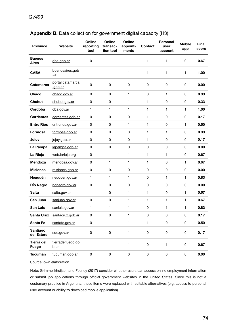| <b>Province</b>               | Website                          | Online<br>reporting<br>tool | Online<br>transac-<br>tion tool | Online<br>appoint-<br>ments | <b>Contact</b> | <b>Personal</b><br>user<br>account | <b>Mobile</b><br>app | <b>Final</b><br>score |
|-------------------------------|----------------------------------|-----------------------------|---------------------------------|-----------------------------|----------------|------------------------------------|----------------------|-----------------------|
| <b>Buenos</b><br><b>Aires</b> | gba.gob.ar                       | 0                           | 1                               | 1                           | 1              | 1                                  | $\mathsf 0$          | 0.67                  |
| <b>CABA</b>                   | buenosaires.gob<br>.ar           | 1                           | 1                               | 1                           | 1              | 1                                  | $\mathbf{1}$         | 1.00                  |
| <b>Catamarca</b>              | portal.catamarca<br>.gob.ar      | 0                           | 0                               | 0                           | 0              | 0                                  | 0                    | 0.00                  |
| Chaco                         | chaco.gov.ar                     | $\mathsf 0$                 | 0                               | 1                           | 0              | 1                                  | 0                    | 0.33                  |
| <b>Chubut</b>                 | chubut.gov.ar                    | 0                           | 0                               | 1                           | 1              | 0                                  | 0                    | 0.33                  |
| Córdoba                       | cba.gov.ar                       | 1                           | 1                               | 1                           | 1              | 1                                  | $\mathbf{1}$         | 1.00                  |
| <b>Corrientes</b>             | corrientes.gob.ar                | 0                           | 0                               | 0                           | 1              | 0                                  | 0                    | 0.17                  |
| <b>Entre Ríos</b>             | entrerios.gov.ar                 | 0                           | 0                               | 1                           | 1              | 0                                  | $\mathbf{1}$         | 0.50                  |
| Formosa                       | formosa.gob.ar                   | 0                           | $\mathsf 0$                     | 0                           | 1              | 1                                  | 0                    | 0.33                  |
| Jujuy                         | jujuy.gob.ar                     | $\mathsf 0$                 | 0                               | $\mathsf 0$                 | 1              | 0                                  | 0                    | 0.17                  |
| La Pampa                      | lapampa.gob.ar                   | $\mathsf 0$                 | $\mathsf 0$                     | 0                           | 0              | 0                                  | 0                    | 0.00                  |
| La Rioja                      | web.larioja.org                  | 0                           | 1                               | 1                           | 1              | 1                                  | 0                    | 0.67                  |
| Mendoza                       | mendoza.gov.ar                   | 0                           | 1                               | 1                           | $\mathbf{1}$   | 0                                  | $\mathbf{1}$         | 0.67                  |
| <b>Misiones</b>               | misiones.gob.ar                  | 0                           | 0                               | 0                           | 0              | 0                                  | 0                    | 0.00                  |
| Neuquén                       | neuquen.gov.ar                   | 1                           | 1                               | 1                           | $\mathsf 0$    | 1                                  | $\mathbf{1}$         | 0.83                  |
| <b>Río Negro</b>              | rionegro.gov.ar                  | $\mathsf 0$                 | 0                               | $\mathsf 0$                 | 0              | 0                                  | 0                    | 0.00                  |
| <b>Salta</b>                  | salta.gov.ar                     | 1                           | 0                               | 1                           | 1              | 0                                  | $\mathbf{1}$         | 0.67                  |
| San Juan                      | sanjuan.gov.ar                   | 0                           | $\pmb{0}$                       | 1                           | 1              | 1                                  | $\mathbf{1}$         | 0.67                  |
| <b>San Luis</b>               | sanluis.gov.ar                   | 1                           | 1                               | 1                           | 0              | 1                                  | $\mathbf{1}$         | 0.83                  |
|                               | Santa Cruz santacruz.gob.ar      | 0                           | 0                               | 1                           | 0              | 0                                  | 0                    | 0.17                  |
| Santa Fe                      | santafe.gov.ar                   | $\mathsf 0$                 | 1                               | 1                           | $\mathbf{1}$   | $\pmb{0}$                          | $\pmb{0}$            | 0.50                  |
| <b>Santiago</b><br>del Estero | sde.gov.ar                       | 0                           | 0                               | 1                           | $\mathsf 0$    | $\mathsf 0$                        | $\mathsf 0$          | 0.17                  |
| Tierra del<br><b>Fuego</b>    | tierradelfuego.go<br><u>b.ar</u> | $\mathbf{1}$                | 1                               | 1                           | $\mathsf 0$    | 1                                  | $\pmb{0}$            | 0.67                  |
| Tucumán                       | tucuman.gob.ar                   | $\pmb{0}$                   | 0                               | 0                           | 0              | $\pmb{0}$                          | $\pmb{0}$            | 0.00                  |

## Appendix B. Data collection for government digital capacity (H3)

Source: own elaboration.

Note: Grimmelikhuijsen and Feeney (2017) consider whether users can access online employment information or submit job applications through official government websites in the United States. Since this is not a customary practice in Argentina, these items were replaced with suitable alternatives (e.g. access to personal user account or ability to download mobile application).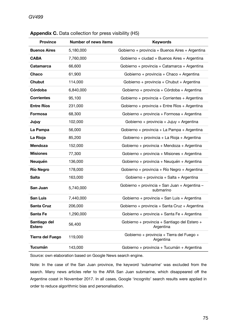| <b>Province</b>               | <b>Number of news items</b> | <b>Keywords</b>                                            |
|-------------------------------|-----------------------------|------------------------------------------------------------|
| <b>Buenos Aires</b>           | 5,180,000                   | Gobierno + provincia + Buenos Aires + Argentina            |
| <b>CABA</b>                   | 7,760,000                   | Gobierno + ciudad + Buenos Aires + Argentina               |
| <b>Catamarca</b>              | 66,600                      | Gobierno + provincia + Catamarca + Argentina               |
| Chaco                         | 61,900                      | Gobierno + provincia + Chaco + Argentina                   |
| <b>Chubut</b>                 | 114,000                     | Gobierno + provincia + Chubut + Argentina                  |
| Córdoba                       | 6,840,000                   | Gobierno + provincia + Córdoba + Argentina                 |
| <b>Corrientes</b>             | 95,100                      | Gobierno + provincia + Corrientes + Argentina              |
| <b>Entre Ríos</b>             | 231,000                     | Gobierno + provincia + Entre Ríos + Argentina              |
| <b>Formosa</b>                | 68,300                      | Gobierno + provincia + Formosa + Argentina                 |
| Jujuy                         | 102,000                     | Gobierno + provincia + Jujuy + Argentina                   |
| La Pampa                      | 56,000                      | Gobierno + provincia + La Pampa + Argentina                |
| La Rioja                      | 85,200                      | Gobierno + provincia + La Rioja + Argentina                |
| <b>Mendoza</b>                | 152,000                     | Gobierno + provincia + Mendoza + Argentina                 |
| <b>Misiones</b>               | 77,300                      | Gobierno + provincia + Misiones + Argentina                |
| Neuquén                       | 136,000                     | Gobierno + provincia + Neuquén + Argentina                 |
| <b>Río Negro</b>              | 178,000                     | Gobierno + provincia + Río Negro + Argentina               |
| <b>Salta</b>                  | 163,000                     | Gobierno + provincia + Salta + Argentina                   |
| San Juan                      | 5,740,000                   | Gobierno + provincia + San Juan + Argentina -<br>submarino |
| <b>San Luis</b>               | 7,440,000                   | Gobierno + provincia + San Luis + Argentina                |
| <b>Santa Cruz</b>             | 206,000                     | Gobierno + provincia + Santa Cruz + Argentina              |
| Santa Fe                      | 1,290,000                   | Gobierno + provincia + Santa Fe + Argentina                |
| Santiago del<br><b>Estero</b> | 56,400                      | Gobierno + provincia + Santiago del Estero +<br>Argentina  |
| <b>Tierra del Fuego</b>       | 119,000                     | Gobierno + provincia + Tierra del Fuego +<br>Argentina     |
| <b>Tucumán</b>                | 143,000                     | Gobierno + provincia + Tucumán + Argentina                 |

## **Appendix C.** Data collection for press visibility (H5)

Source: own elaboration based on Google News search engine.

Note: In the case of the San Juan province, the keyword 'submarine' was excluded from the search. Many news articles refer to the ARA San Juan submarine, which disappeared off the Argentine coast in November 2017. In all cases, Google 'incognito' search results were applied in order to reduce algorithmic bias and personalisation.